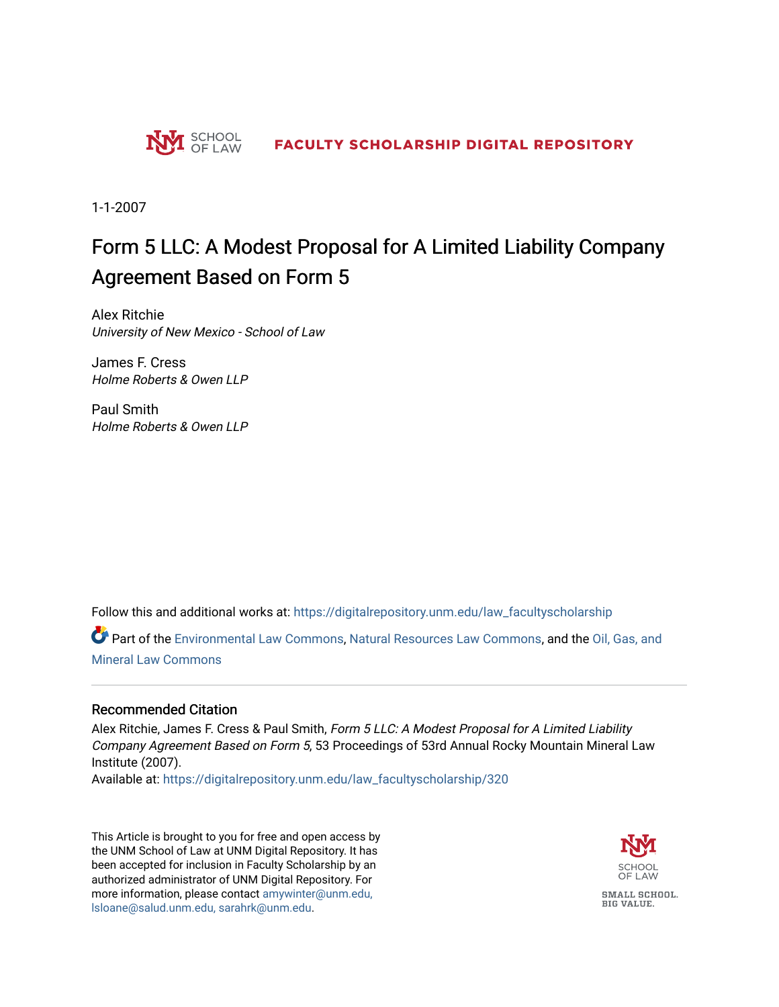

1-1-2007

# Form 5 LLC: A Modest Proposal for A Limited Liability Company Agreement Based on Form 5

Alex Ritchie University of New Mexico - School of Law

James F. Cress Holme Roberts & Owen LLP

Paul Smith Holme Roberts & Owen LLP

Follow this and additional works at: [https://digitalrepository.unm.edu/law\\_facultyscholarship](https://digitalrepository.unm.edu/law_facultyscholarship?utm_source=digitalrepository.unm.edu%2Flaw_facultyscholarship%2F320&utm_medium=PDF&utm_campaign=PDFCoverPages) 

Part of the [Environmental Law Commons](http://network.bepress.com/hgg/discipline/599?utm_source=digitalrepository.unm.edu%2Flaw_facultyscholarship%2F320&utm_medium=PDF&utm_campaign=PDFCoverPages), [Natural Resources Law Commons,](http://network.bepress.com/hgg/discipline/863?utm_source=digitalrepository.unm.edu%2Flaw_facultyscholarship%2F320&utm_medium=PDF&utm_campaign=PDFCoverPages) and the [Oil, Gas, and](http://network.bepress.com/hgg/discipline/864?utm_source=digitalrepository.unm.edu%2Flaw_facultyscholarship%2F320&utm_medium=PDF&utm_campaign=PDFCoverPages)  [Mineral Law Commons](http://network.bepress.com/hgg/discipline/864?utm_source=digitalrepository.unm.edu%2Flaw_facultyscholarship%2F320&utm_medium=PDF&utm_campaign=PDFCoverPages)

# Recommended Citation

Alex Ritchie, James F. Cress & Paul Smith, Form 5 LLC: A Modest Proposal for A Limited Liability Company Agreement Based on Form 5, 53 Proceedings of 53rd Annual Rocky Mountain Mineral Law Institute (2007).

Available at: [https://digitalrepository.unm.edu/law\\_facultyscholarship/320](https://digitalrepository.unm.edu/law_facultyscholarship/320?utm_source=digitalrepository.unm.edu%2Flaw_facultyscholarship%2F320&utm_medium=PDF&utm_campaign=PDFCoverPages) 

This Article is brought to you for free and open access by the UNM School of Law at UNM Digital Repository. It has been accepted for inclusion in Faculty Scholarship by an authorized administrator of UNM Digital Repository. For more information, please contact [amywinter@unm.edu,](mailto:amywinter@unm.edu,%20lsloane@salud.unm.edu,%20sarahrk@unm.edu)  [lsloane@salud.unm.edu, sarahrk@unm.edu.](mailto:amywinter@unm.edu,%20lsloane@salud.unm.edu,%20sarahrk@unm.edu)

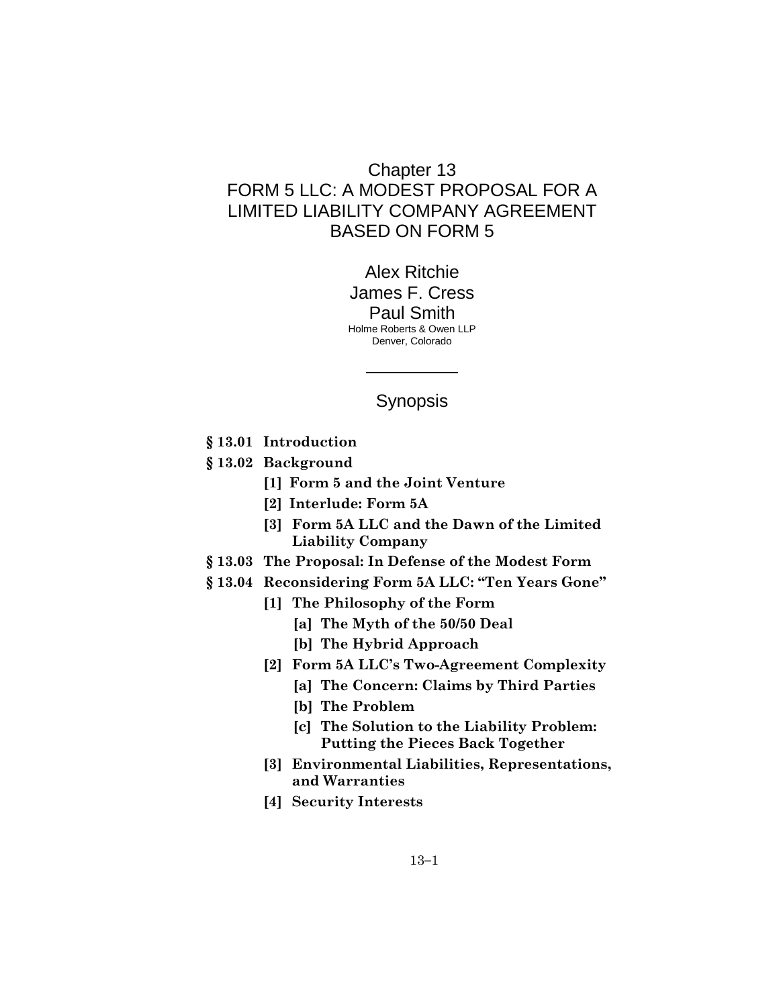# Chapter 13 FORM 5 LLC: A MODEST PROPOSAL FOR A LIMITED LIABILITY COMPANY AGREEMENT BASED ON FORM 5

Alex Ritchie James F. Cress Paul Smith Holme Roberts & Owen LLP Denver, Colorado

# Synopsis

- **§ 13.01 Introduction**
- **§ 13.02 Background**
	- **[1] Form 5 and the Joint Venture**
	- **[2] Interlude: Form 5A**
	- **[3] Form 5A LLC and the Dawn of the Limited Liability Company**
- **§ 13.03 The Proposal: In Defense of the Modest Form**
- **§ 13.04 Reconsidering Form 5A LLC: "Ten Years Gone"** 
	- **[1] The Philosophy of the Form**
		- **[a] The Myth of the 50/50 Deal**
		- **[b] The Hybrid Approach**
	- **[2] Form 5A LLC's Two-Agreement Complexity**
		- **[a] The Concern: Claims by Third Parties**
		- **[b] The Problem**
		- **[c] The Solution to the Liability Problem: Putting the Pieces Back Together**
	- **[3] Environmental Liabilities, Representations, and Warranties**
	- **[4] Security Interests**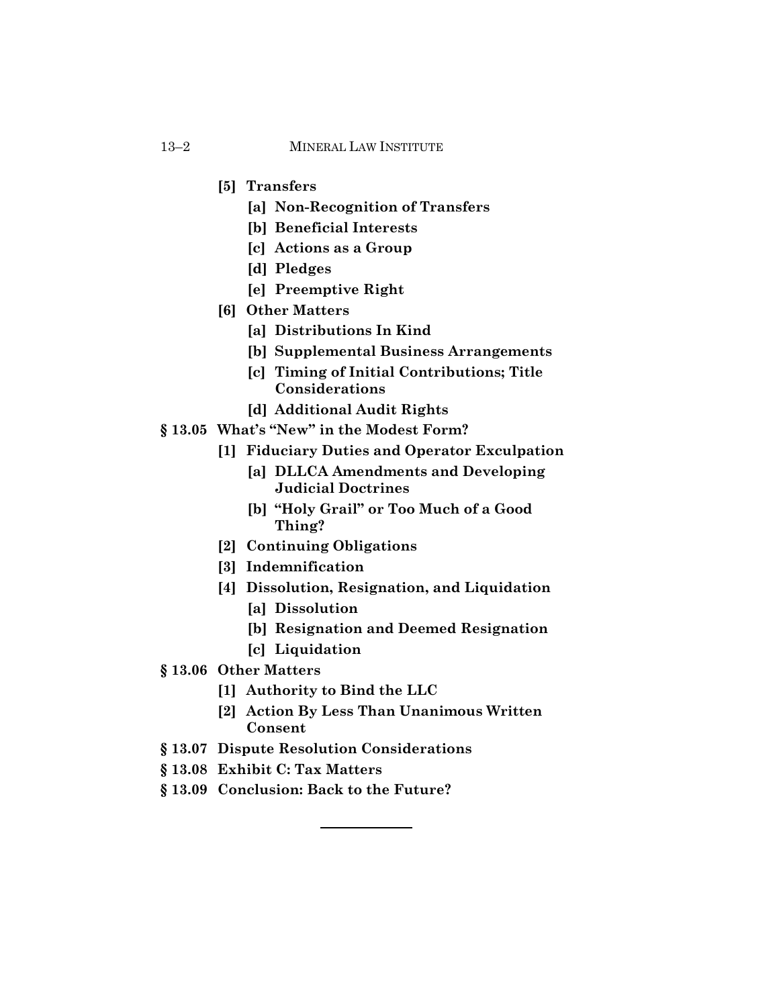- **[5] Transfers**
	- **[a] Non-Recognition of Transfers**
	- **[b] Beneficial Interests**
	- **[c] Actions as a Group**
	- **[d] Pledges**
	- **[e] Preemptive Right**
- **[6] Other Matters**
	- **[a] Distributions In Kind**
	- **[b] Supplemental Business Arrangements**
	- **[c] Timing of Initial Contributions; Title Considerations**
	- **[d] Additional Audit Rights**
- **§ 13.05 What's "New" in the Modest Form?** 
	- **[1] Fiduciary Duties and Operator Exculpation**
		- **[a] DLLCA Amendments and Developing Judicial Doctrines**
		- **[b] "Holy Grail" or Too Much of a Good Thing?**
	- **[2] Continuing Obligations**
	- **[3] Indemnification**
	- **[4] Dissolution, Resignation, and Liquidation**
		- **[a] Dissolution**
		- **[b] Resignation and Deemed Resignation**
		- **[c] Liquidation**
- **§ 13.06 Other Matters**
	- **[1] Authority to Bind the LLC**
	- **[2] Action By Less Than Unanimous Written Consent**
- **§ 13.07 Dispute Resolution Considerations**
- **§ 13.08 Exhibit C: Tax Matters**
- **§ 13.09 Conclusion: Back to the Future?**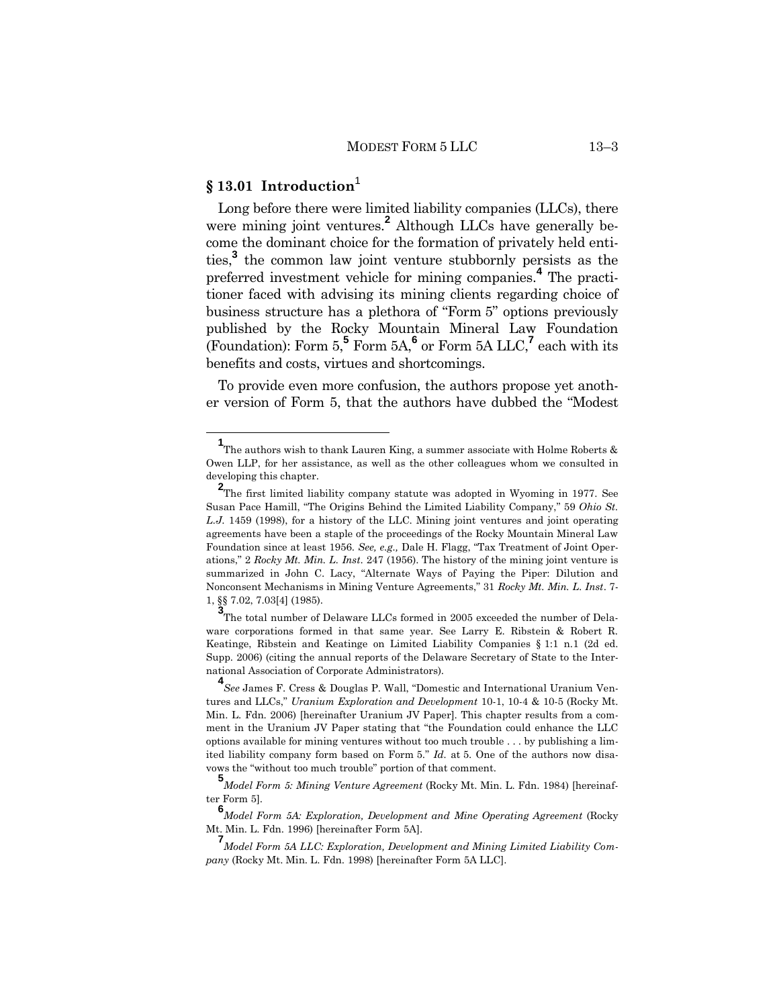# **§ 13.01 Introduction**<sup>1</sup>

Long before there were limited liability companies (LLCs), there were mining joint ventures.<sup>2</sup> Although LLCs have generally become the dominant choice for the formation of privately held entities,**<sup>3</sup>** the common law joint venture stubbornly persists as the preferred investment vehicle for mining companies.**<sup>4</sup>** The practitioner faced with advising its mining clients regarding choice of business structure has a plethora of "Form 5" options previously published by the Rocky Mountain Mineral Law Foundation (Foundation): Form 5,**<sup>5</sup>** Form 5A,**<sup>6</sup>** or Form 5A LLC,**<sup>7</sup>** each with its benefits and costs, virtues and shortcomings.

To provide even more confusion, the authors propose yet another version of Form 5, that the authors have dubbed the "Modest

**<sup>1</sup>** The authors wish to thank Lauren King, a summer associate with Holme Roberts & Owen LLP, for her assistance, as well as the other colleagues whom we consulted in developing this chapter.

**<sup>2</sup>**<br>The first limited liability company statute was adopted in Wyoming in 1977. See Susan Pace Hamill, "The Origins Behind the Limited Liability Company," 59 *Ohio St. L.J*. 1459 (1998), for a history of the LLC. Mining joint ventures and joint operating agreements have been a staple of the proceedings of the Rocky Mountain Mineral Law Foundation since at least 1956. *See, e.g.,* Dale H. Flagg, "Tax Treatment of Joint Operations," 2 *Rocky Mt. Min. L. Inst*. 247 (1956). The history of the mining joint venture is summarized in John C. Lacy, "Alternate Ways of Paying the Piper: Dilution and Nonconsent Mechanisms in Mining Venture Agreements," 31 *Rocky Mt. Min. L. Inst*. 7- 1, §§ 7.02, 7.03[4] (1985).

**<sup>3</sup>**<br>The total number of Delaware LLCs formed in 2005 exceeded the number of Delaware corporations formed in that same year. See Larry E. Ribstein & Robert R. Keatinge, Ribstein and Keatinge on Limited Liability Companies § 1:1 n.1 (2d ed. Supp. 2006) (citing the annual reports of the Delaware Secretary of State to the International Association of Corporate Administrators).

**<sup>4</sup>** *See* James F. Cress & Douglas P. Wall, "Domestic and International Uranium Ventures and LLCs," *Uranium Exploration and Development* 10-1, 10-4 & 10-5 (Rocky Mt. Min. L. Fdn. 2006) [hereinafter Uranium JV Paper]. This chapter results from a comment in the Uranium JV Paper stating that "the Foundation could enhance the LLC options available for mining ventures without too much trouble . . . by publishing a limited liability company form based on Form 5." *Id.* at 5. One of the authors now disavows the "without too much trouble" portion of that comment.

**<sup>5</sup>***Model Form 5: Mining Venture Agreement* (Rocky Mt. Min. L. Fdn. 1984) [hereinafter Form 5].

**<sup>6</sup>***Model Form 5A: Exploration, Development and Mine Operating Agreement* (Rocky Mt. Min. L. Fdn. 1996) [hereinafter Form 5A].

**<sup>7</sup>***Model Form 5A LLC: Exploration, Development and Mining Limited Liability Company* (Rocky Mt. Min. L. Fdn. 1998) [hereinafter Form 5A LLC].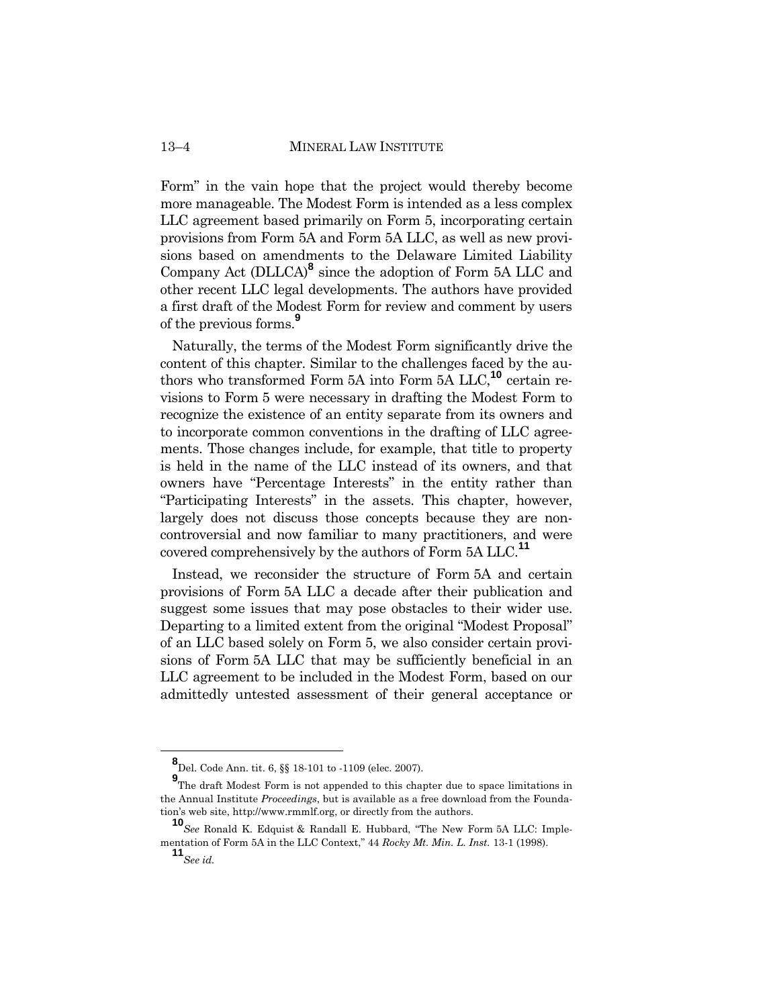Form" in the vain hope that the project would thereby become more manageable. The Modest Form is intended as a less complex LLC agreement based primarily on Form 5, incorporating certain provisions from Form 5A and Form 5A LLC, as well as new provisions based on amendments to the Delaware Limited Liability Company Act (DLLCA)**<sup>8</sup>** since the adoption of Form 5A LLC and other recent LLC legal developments. The authors have provided a first draft of the Modest Form for review and comment by users of the previous forms.**<sup>9</sup>**

Naturally, the terms of the Modest Form significantly drive the content of this chapter. Similar to the challenges faced by the authors who transformed Form 5A into Form 5A LLC,**<sup>10</sup>** certain revisions to Form 5 were necessary in drafting the Modest Form to recognize the existence of an entity separate from its owners and to incorporate common conventions in the drafting of LLC agreements. Those changes include, for example, that title to property is held in the name of the LLC instead of its owners, and that owners have "Percentage Interests" in the entity rather than "Participating Interests" in the assets. This chapter, however, largely does not discuss those concepts because they are noncontroversial and now familiar to many practitioners, and were covered comprehensively by the authors of Form 5A LLC.**<sup>11</sup>**

Instead, we reconsider the structure of Form 5A and certain provisions of Form 5A LLC a decade after their publication and suggest some issues that may pose obstacles to their wider use. Departing to a limited extent from the original "Modest Proposal" of an LLC based solely on Form 5, we also consider certain provisions of Form 5A LLC that may be sufficiently beneficial in an LLC agreement to be included in the Modest Form, based on our admittedly untested assessment of their general acceptance or

**<sup>8</sup>** Del. Code Ann. tit. 6, §§ 18-101 to -1109 (elec. 2007).

**<sup>9</sup>**<br>The draft Modest Form is not appended to this chapter due to space limitations in the Annual Institute *Proceedings*, but is available as a free download from the Foundation's web site, http://www.rmmlf.org, or directly from the authors.

**<sup>10</sup>***See* Ronald K. Edquist & Randall E. Hubbard, "The New Form 5A LLC: Implementation of Form 5A in the LLC Context," 44 *Rocky Mt. Min. L. Inst.* 13-1 (1998).

**<sup>11</sup>***See id.*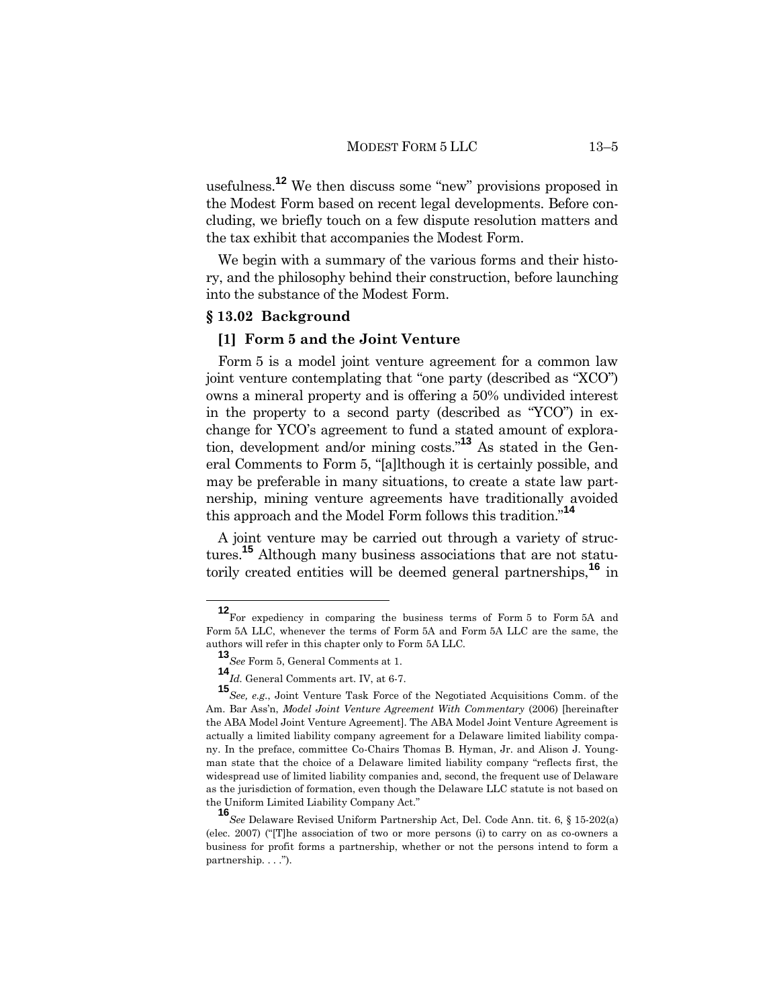usefulness. **<sup>12</sup>** We then discuss some "new" provisions proposed in the Modest Form based on recent legal developments. Before concluding, we briefly touch on a few dispute resolution matters and the tax exhibit that accompanies the Modest Form.

We begin with a summary of the various forms and their history, and the philosophy behind their construction, before launching into the substance of the Modest Form.

# **§ 13.02 Background**

#### **[1] Form 5 and the Joint Venture**

Form 5 is a model joint venture agreement for a common law joint venture contemplating that "one party (described as "XCO") owns a mineral property and is offering a 50% undivided interest in the property to a second party (described as "YCO") in exchange for YCO's agreement to fund a stated amount of exploration, development and/or mining costs." **<sup>13</sup>** As stated in the General Comments to Form 5, "[a]lthough it is certainly possible, and may be preferable in many situations, to create a state law partnership, mining venture agreements have traditionally avoided this approach and the Model Form follows this tradition."**<sup>14</sup>**

A joint venture may be carried out through a variety of structures.**<sup>15</sup>** Although many business associations that are not statutorily created entities will be deemed general partnerships,**<sup>16</sup>** in

**<sup>12</sup>**For expediency in comparing the business terms of Form 5 to Form 5A and Form 5A LLC, whenever the terms of Form 5A and Form 5A LLC are the same, the authors will refer in this chapter only to Form 5A LLC.

**<sup>13</sup>***See* Form 5, General Comments at 1.

**<sup>14</sup>***Id.* General Comments art. IV, at 6-7.

**<sup>15</sup>***See, e.g.*, Joint Venture Task Force of the Negotiated Acquisitions Comm. of the Am. Bar Ass'n, *Model Joint Venture Agreement With Commentary* (2006) [hereinafter the ABA Model Joint Venture Agreement]. The ABA Model Joint Venture Agreement is actually a limited liability company agreement for a Delaware limited liability company. In the preface, committee Co-Chairs Thomas B. Hyman, Jr. and Alison J. Youngman state that the choice of a Delaware limited liability company "reflects first, the widespread use of limited liability companies and, second, the frequent use of Delaware as the jurisdiction of formation, even though the Delaware LLC statute is not based on the Uniform Limited Liability Company Act."

**<sup>16</sup>***See* Delaware Revised Uniform Partnership Act, Del. Code Ann. tit. 6, § 15-202(a) (elec. 2007) ("[T]he association of two or more persons (i) to carry on as co-owners a business for profit forms a partnership, whether or not the persons intend to form a partnership. . . .").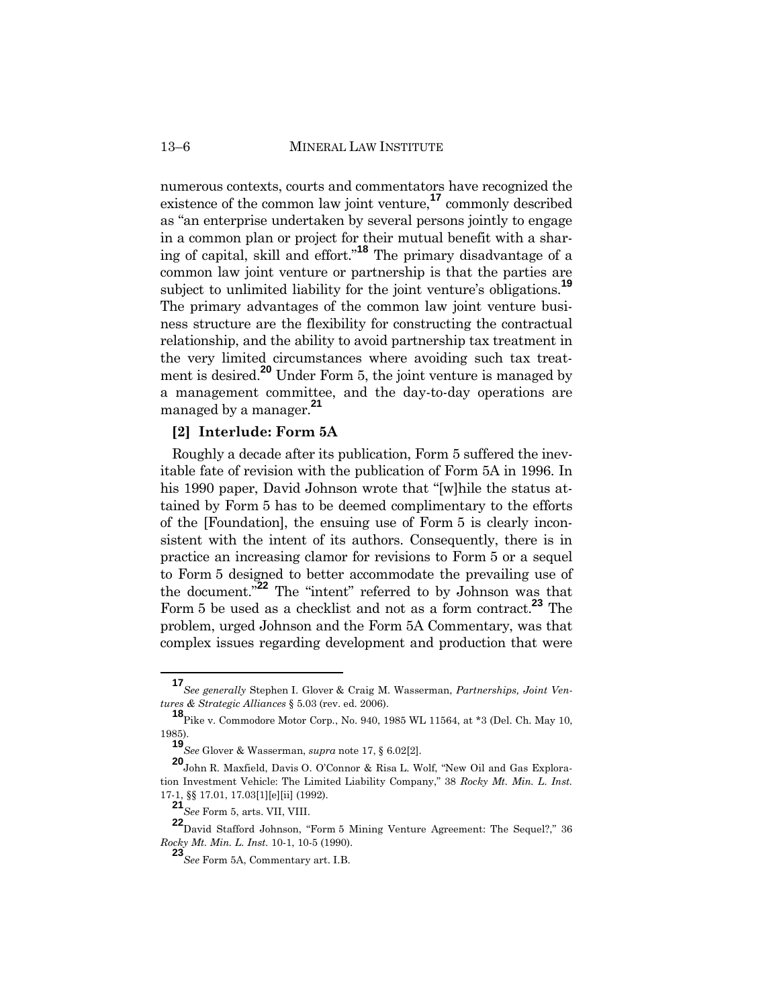13–6 MINERAL LAW INSTITUTE

numerous contexts, courts and commentators have recognized the existence of the common law joint venture,**<sup>17</sup>** commonly described as "an enterprise undertaken by several persons jointly to engage in a common plan or project for their mutual benefit with a sharing of capital, skill and effort."**<sup>18</sup>** The primary disadvantage of a common law joint venture or partnership is that the parties are subject to unlimited liability for the joint venture's obligations.**<sup>19</sup>** The primary advantages of the common law joint venture business structure are the flexibility for constructing the contractual relationship, and the ability to avoid partnership tax treatment in the very limited circumstances where avoiding such tax treatment is desired.**<sup>20</sup>** Under Form 5, the joint venture is managed by a management committee, and the day-to-day operations are managed by a manager.**<sup>21</sup>**

#### **[2] Interlude: Form 5A**

Roughly a decade after its publication, Form 5 suffered the inevitable fate of revision with the publication of Form 5A in 1996. In his 1990 paper, David Johnson wrote that "[w]hile the status attained by Form 5 has to be deemed complimentary to the efforts of the [Foundation], the ensuing use of Form 5 is clearly inconsistent with the intent of its authors. Consequently, there is in practice an increasing clamor for revisions to Form 5 or a sequel to Form 5 designed to better accommodate the prevailing use of the document."**<sup>22</sup>** The "intent" referred to by Johnson was that Form 5 be used as a checklist and not as a form contract.**<sup>23</sup>** The problem, urged Johnson and the Form 5A Commentary, was that complex issues regarding development and production that were

**<sup>17</sup>***See generally* Stephen I. Glover & Craig M. Wasserman, *Partnerships, Joint Ventures & Strategic Alliances* § 5.03 (rev. ed. 2006).

**<sup>18</sup>**Pike v. Commodore Motor Corp*.*, No. 940, 1985 WL 11564, at \*3 (Del. Ch. May 10, 1985).

**<sup>19</sup>***See* Glover & Wasserman, *supra* note 17, § 6.02[2].

**<sup>20</sup>**John R. Maxfield, Davis O. O'Connor & Risa L. Wolf, "New Oil and Gas Exploration Investment Vehicle: The Limited Liability Company," 38 *Rocky Mt. Min. L. Inst.* 17-1, §§ 17.01, 17.03[1][e][ii] (1992).

**<sup>21</sup>***See* Form 5, arts. VII, VIII.

**<sup>22</sup>**David Stafford Johnson, "Form 5 Mining Venture Agreement: The Sequel?," 36 *Rocky Mt. Min. L. Inst.* 10-1, 10-5 (1990).

**<sup>23</sup>***See* Form 5A, Commentary art. I.B.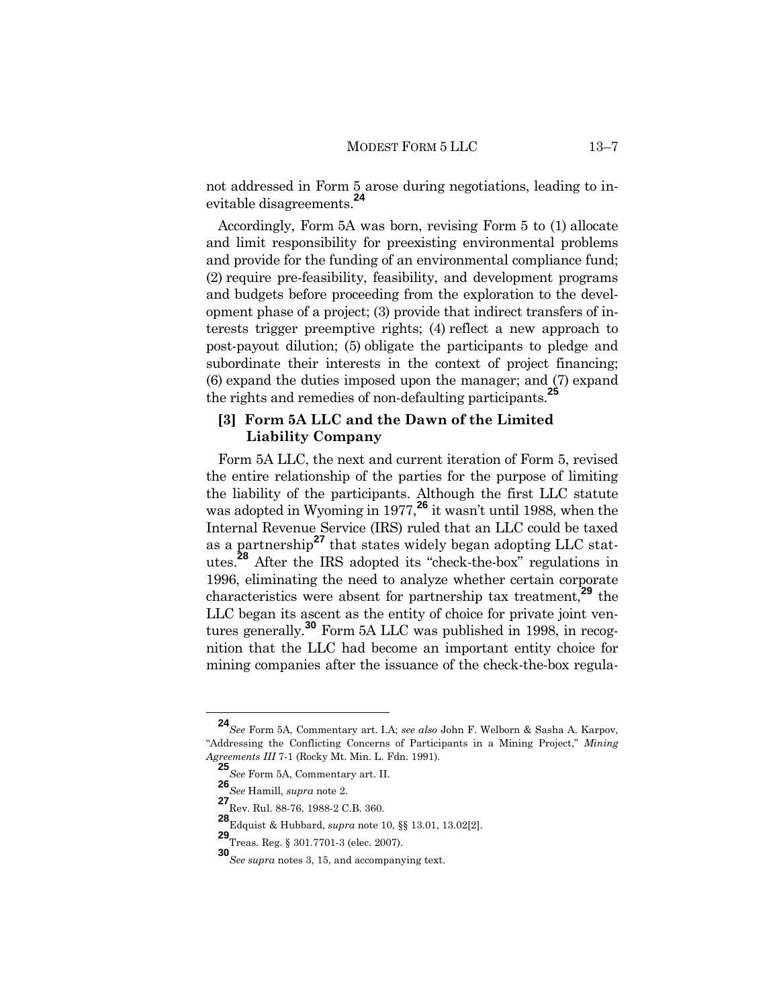not addressed in Form 5 arose during negotiations, leading to inevitable disagreements.**<sup>24</sup>**

Accordingly, Form 5A was born, revising Form 5 to (1) allocate and limit responsibility for preexisting environmental problems and provide for the funding of an environmental compliance fund; (2) require pre-feasibility, feasibility, and development programs and budgets before proceeding from the exploration to the development phase of a project; (3) provide that indirect transfers of interests trigger preemptive rights; (4) reflect a new approach to post-payout dilution; (5) obligate the participants to pledge and subordinate their interests in the context of project financing; (6) expand the duties imposed upon the manager; and (7) expand the rights and remedies of non-defaulting participants.**<sup>25</sup>**

# **[3] Form 5A LLC and the Dawn of the Limited Liability Company**

Form 5A LLC, the next and current iteration of Form 5, revised the entire relationship of the parties for the purpose of limiting the liability of the participants. Although the first LLC statute was adopted in Wyoming in 1977,**<sup>26</sup>** it wasn't until 1988, when the Internal Revenue Service (IRS) ruled that an LLC could be taxed as a partnership**<sup>27</sup>** that states widely began adopting LLC statutes. **<sup>28</sup>** After the IRS adopted its "check-the-box" regulations in 1996, eliminating the need to analyze whether certain corporate characteristics were absent for partnership tax treatment,**<sup>29</sup>** the LLC began its ascent as the entity of choice for private joint ventures generally.**<sup>30</sup>** Form 5A LLC was published in 1998, in recognition that the LLC had become an important entity choice for mining companies after the issuance of the check-the-box regula-

**<sup>24</sup>***See* Form 5A, Commentary art. I.A; *see also* John F. Welborn & Sasha A. Karpov, "Addressing the Conflicting Concerns of Participants in a Mining Project," *Mining Agreements III* 7-1 (Rocky Mt. Min. L. Fdn. 1991).

**<sup>25</sup>***See* Form 5A, Commentary art. II.

**<sup>26</sup>***See* Hamill, *supra* note 2.

**<sup>27</sup>**Rev. Rul. 88-76, 1988-2 C.B. 360.

**<sup>28</sup>**Edquist & Hubbard, *supra* note 10, §§ 13.01, 13.02[2].

**<sup>29</sup>**Treas. Reg. § 301.7701-3 (elec. 2007).

**<sup>30</sup>***See supra* notes 3, 15, and accompanying text.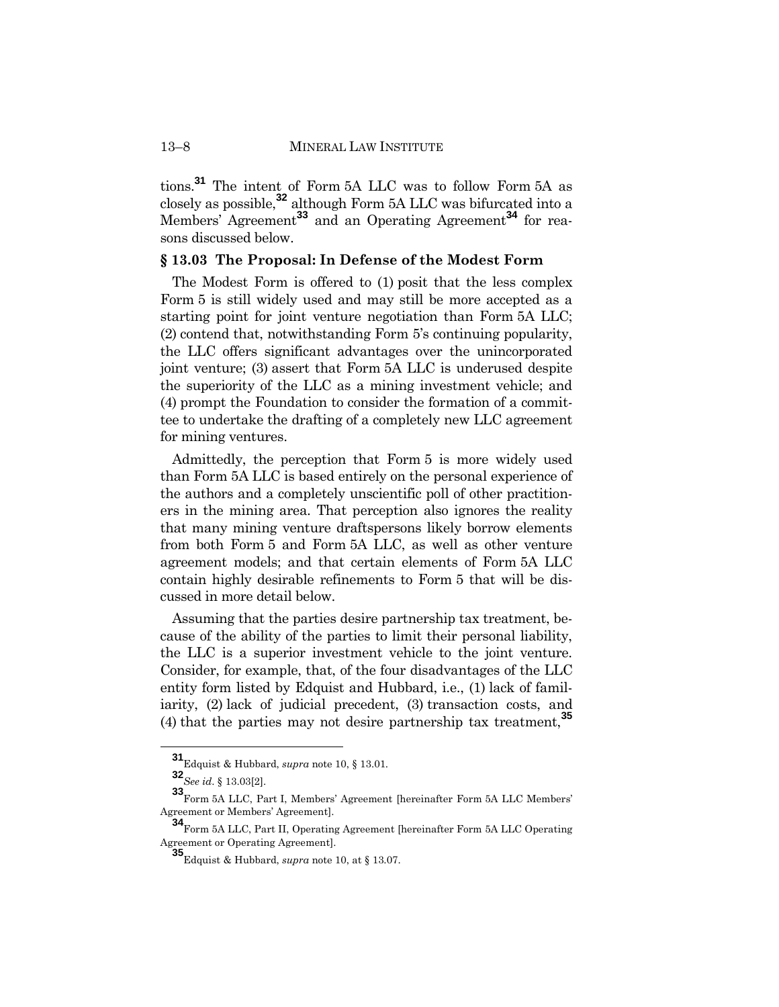tions.**<sup>31</sup>** The intent of Form 5A LLC was to follow Form 5A as closely as possible,**<sup>32</sup>** although Form 5A LLC was bifurcated into a Members' Agreement**<sup>33</sup>** and an Operating Agreement**<sup>34</sup>** for reasons discussed below.

#### **§ 13.03 The Proposal: In Defense of the Modest Form**

The Modest Form is offered to (1) posit that the less complex Form 5 is still widely used and may still be more accepted as a starting point for joint venture negotiation than Form 5A LLC; (2) contend that, notwithstanding Form 5's continuing popularity, the LLC offers significant advantages over the unincorporated joint venture; (3) assert that Form 5A LLC is underused despite the superiority of the LLC as a mining investment vehicle; and (4) prompt the Foundation to consider the formation of a committee to undertake the drafting of a completely new LLC agreement for mining ventures.

Admittedly, the perception that Form 5 is more widely used than Form 5A LLC is based entirely on the personal experience of the authors and a completely unscientific poll of other practitioners in the mining area. That perception also ignores the reality that many mining venture draftspersons likely borrow elements from both Form 5 and Form 5A LLC, as well as other venture agreement models; and that certain elements of Form 5A LLC contain highly desirable refinements to Form 5 that will be discussed in more detail below.

Assuming that the parties desire partnership tax treatment, because of the ability of the parties to limit their personal liability, the LLC is a superior investment vehicle to the joint venture. Consider, for example, that, of the four disadvantages of the LLC entity form listed by Edquist and Hubbard, i.e., (1) lack of familiarity, (2) lack of judicial precedent, (3) transaction costs, and (4) that the parties may not desire partnership tax treatment,**<sup>35</sup>**

**<sup>31</sup>**Edquist & Hubbard, *supra* note 10, § 13.01.

**<sup>32</sup>***See id*. § 13.03[2].

**<sup>33</sup>**Form 5A LLC, Part I, Members' Agreement [hereinafter Form 5A LLC Members' Agreement or Members' Agreement].

**<sup>34</sup>**Form 5A LLC, Part II, Operating Agreement [hereinafter Form 5A LLC Operating Agreement or Operating Agreement].

**<sup>35</sup>**Edquist & Hubbard, *supra* note 10, at § 13.07.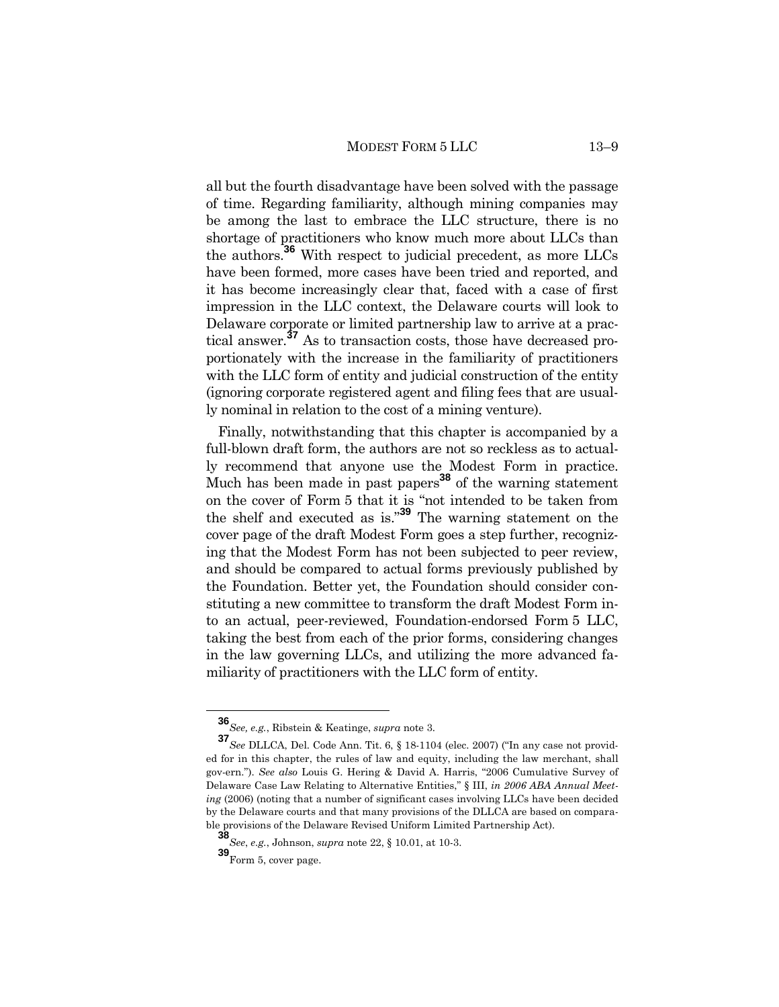all but the fourth disadvantage have been solved with the passage of time. Regarding familiarity, although mining companies may be among the last to embrace the LLC structure, there is no shortage of practitioners who know much more about LLCs than the authors.**<sup>36</sup>** With respect to judicial precedent, as more LLCs have been formed, more cases have been tried and reported, and it has become increasingly clear that, faced with a case of first impression in the LLC context, the Delaware courts will look to Delaware corporate or limited partnership law to arrive at a practical answer.**<sup>37</sup>** As to transaction costs, those have decreased proportionately with the increase in the familiarity of practitioners with the LLC form of entity and judicial construction of the entity (ignoring corporate registered agent and filing fees that are usually nominal in relation to the cost of a mining venture).

Finally, notwithstanding that this chapter is accompanied by a full-blown draft form, the authors are not so reckless as to actually recommend that anyone use the Modest Form in practice. Much has been made in past papers **<sup>38</sup>** of the warning statement on the cover of Form 5 that it is "not intended to be taken from the shelf and executed as is."**<sup>39</sup>** The warning statement on the cover page of the draft Modest Form goes a step further, recognizing that the Modest Form has not been subjected to peer review, and should be compared to actual forms previously published by the Foundation. Better yet, the Foundation should consider constituting a new committee to transform the draft Modest Form into an actual, peer-reviewed, Foundation-endorsed Form 5 LLC, taking the best from each of the prior forms, considering changes in the law governing LLCs, and utilizing the more advanced familiarity of practitioners with the LLC form of entity.

**<sup>36</sup>***See, e.g.*, Ribstein & Keatinge, *supra* note 3.

**<sup>37</sup>***See* DLLCA, Del. Code Ann. Tit. 6, § 18-1104 (elec. 2007) ("In any case not provided for in this chapter, the rules of law and equity, including the law merchant, shall gov-ern."). *See also* Louis G. Hering & David A. Harris, "2006 Cumulative Survey of Delaware Case Law Relating to Alternative Entities," § III, *in 2006 ABA Annual Meeting* (2006) (noting that a number of significant cases involving LLCs have been decided by the Delaware courts and that many provisions of the DLLCA are based on comparable provisions of the Delaware Revised Uniform Limited Partnership Act).

**<sup>38</sup>***See*, *e.g.*, Johnson, *supra* note 22, § 10.01, at 10-3.

**<sup>39</sup>**Form 5, cover page.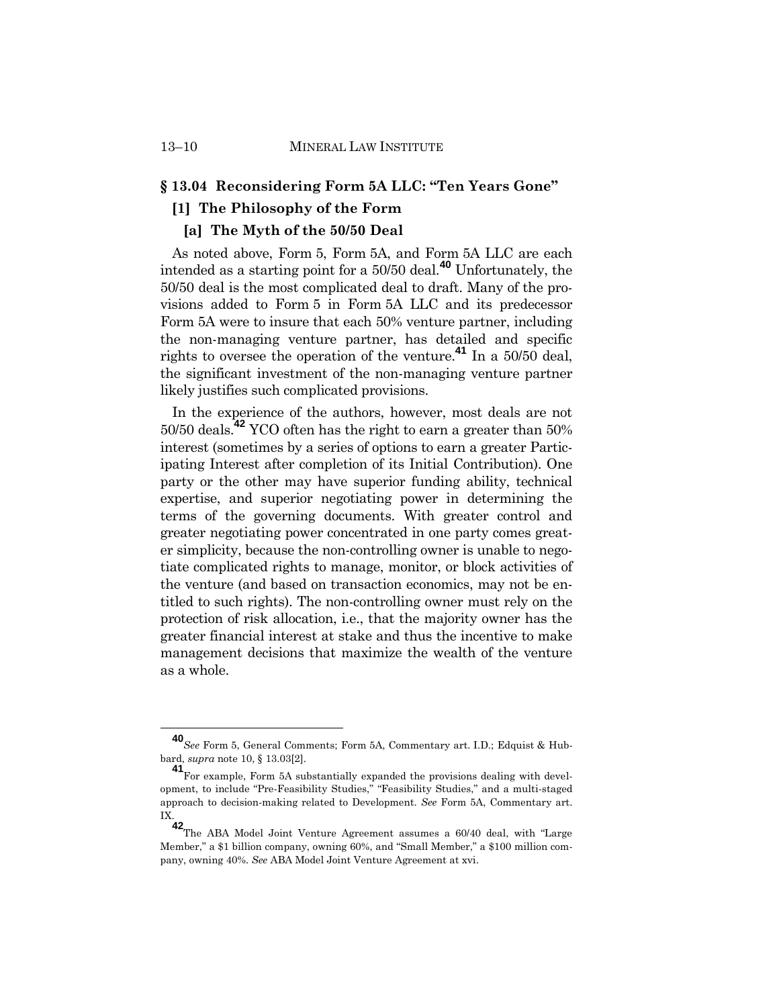# **§ 13.04 Reconsidering Form 5A LLC: "Ten Years Gone"**

# **[1] The Philosophy of the Form**

# **[a] The Myth of the 50/50 Deal**

As noted above, Form 5, Form 5A, and Form 5A LLC are each intended as a starting point for a 50/50 deal.**<sup>40</sup>** Unfortunately, the 50/50 deal is the most complicated deal to draft. Many of the provisions added to Form 5 in Form 5A LLC and its predecessor Form 5A were to insure that each 50% venture partner, including the non-managing venture partner, has detailed and specific rights to oversee the operation of the venture.**<sup>41</sup>** In a 50/50 deal, the significant investment of the non-managing venture partner likely justifies such complicated provisions.

In the experience of the authors, however, most deals are not 50/50 deals.**<sup>42</sup>** YCO often has the right to earn a greater than 50% interest (sometimes by a series of options to earn a greater Participating Interest after completion of its Initial Contribution). One party or the other may have superior funding ability, technical expertise, and superior negotiating power in determining the terms of the governing documents. With greater control and greater negotiating power concentrated in one party comes greater simplicity, because the non-controlling owner is unable to negotiate complicated rights to manage, monitor, or block activities of the venture (and based on transaction economics, may not be entitled to such rights). The non-controlling owner must rely on the protection of risk allocation, i.e., that the majority owner has the greater financial interest at stake and thus the incentive to make management decisions that maximize the wealth of the venture as a whole.

**<sup>40</sup>***See* Form 5, General Comments; Form 5A, Commentary art. I.D.; Edquist & Hubbard, *supra* note 10, § 13.03[2].

**<sup>41</sup>**For example, Form 5A substantially expanded the provisions dealing with development, to include "Pre-Feasibility Studies," "Feasibility Studies," and a multi-staged approach to decision-making related to Development. *See* Form 5A, Commentary art. IX.

**<sup>42</sup>**The ABA Model Joint Venture Agreement assumes a 60/40 deal, with "Large Member," a \$1 billion company, owning 60%, and "Small Member," a \$100 million company, owning 40%. *See* ABA Model Joint Venture Agreement at xvi.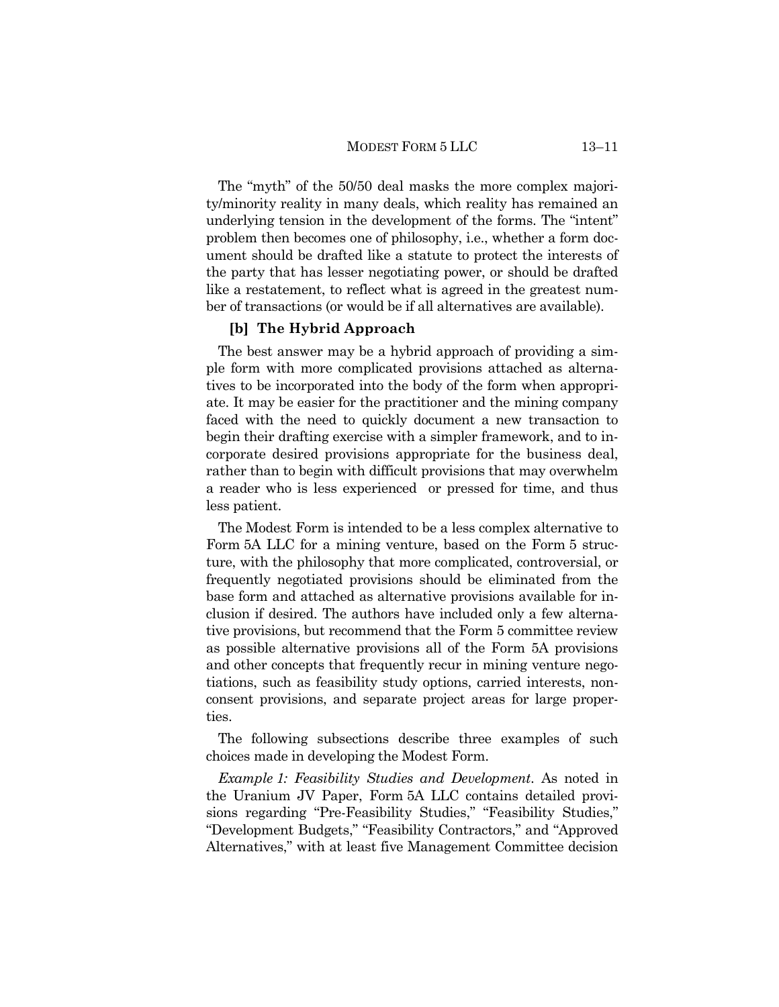The "myth" of the 50/50 deal masks the more complex majority/minority reality in many deals, which reality has remained an underlying tension in the development of the forms. The "intent" problem then becomes one of philosophy, i.e., whether a form document should be drafted like a statute to protect the interests of the party that has lesser negotiating power, or should be drafted like a restatement, to reflect what is agreed in the greatest number of transactions (or would be if all alternatives are available).

### **[b] The Hybrid Approach**

The best answer may be a hybrid approach of providing a simple form with more complicated provisions attached as alternatives to be incorporated into the body of the form when appropriate. It may be easier for the practitioner and the mining company faced with the need to quickly document a new transaction to begin their drafting exercise with a simpler framework, and to incorporate desired provisions appropriate for the business deal, rather than to begin with difficult provisions that may overwhelm a reader who is less experienced or pressed for time, and thus less patient.

The Modest Form is intended to be a less complex alternative to Form 5A LLC for a mining venture, based on the Form 5 structure, with the philosophy that more complicated, controversial, or frequently negotiated provisions should be eliminated from the base form and attached as alternative provisions available for inclusion if desired. The authors have included only a few alternative provisions, but recommend that the Form 5 committee review as possible alternative provisions all of the Form 5A provisions and other concepts that frequently recur in mining venture negotiations, such as feasibility study options, carried interests, nonconsent provisions, and separate project areas for large properties.

The following subsections describe three examples of such choices made in developing the Modest Form.

*Example 1: Feasibility Studies and Development*. As noted in the Uranium JV Paper, Form 5A LLC contains detailed provisions regarding "Pre-Feasibility Studies," "Feasibility Studies," "Development Budgets," "Feasibility Contractors," and "Approved Alternatives," with at least five Management Committee decision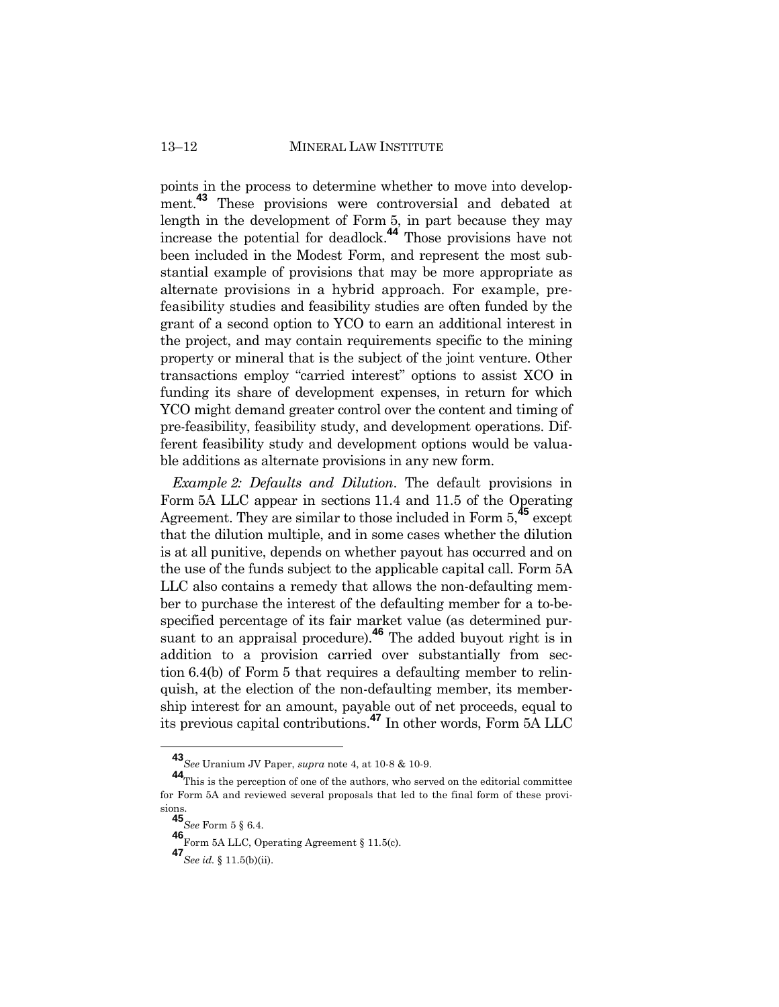points in the process to determine whether to move into development.<sup>43</sup> These provisions were controversial and debated at length in the development of Form 5, in part because they may increase the potential for deadlock. **<sup>44</sup>** Those provisions have not been included in the Modest Form, and represent the most substantial example of provisions that may be more appropriate as alternate provisions in a hybrid approach. For example, prefeasibility studies and feasibility studies are often funded by the grant of a second option to YCO to earn an additional interest in the project, and may contain requirements specific to the mining property or mineral that is the subject of the joint venture. Other transactions employ "carried interest" options to assist XCO in funding its share of development expenses, in return for which YCO might demand greater control over the content and timing of pre-feasibility, feasibility study, and development operations. Different feasibility study and development options would be valuable additions as alternate provisions in any new form.

*Example 2: Defaults and Dilution*. The default provisions in Form 5A LLC appear in sections 11.4 and 11.5 of the Operating Agreement. They are similar to those included in Form 5,**<sup>45</sup>** except that the dilution multiple, and in some cases whether the dilution is at all punitive, depends on whether payout has occurred and on the use of the funds subject to the applicable capital call. Form 5A LLC also contains a remedy that allows the non-defaulting member to purchase the interest of the defaulting member for a to-bespecified percentage of its fair market value (as determined pursuant to an appraisal procedure).**<sup>46</sup>** The added buyout right is in addition to a provision carried over substantially from section 6.4(b) of Form 5 that requires a defaulting member to relinquish, at the election of the non-defaulting member, its membership interest for an amount, payable out of net proceeds, equal to its previous capital contributions.**<sup>47</sup>** In other words, Form 5A LLC

**<sup>43</sup>***See* Uranium JV Paper, *supra* note 4, at 10-8 & 10-9.

**<sup>44</sup>**This is the perception of one of the authors, who served on the editorial committee for Form 5A and reviewed several proposals that led to the final form of these provisions.

**<sup>45</sup>***See* Form 5 § 6.4.

**<sup>46</sup>**Form 5A LLC, Operating Agreement § 11.5(c).

**<sup>47</sup>***See id.* § 11.5(b)(ii).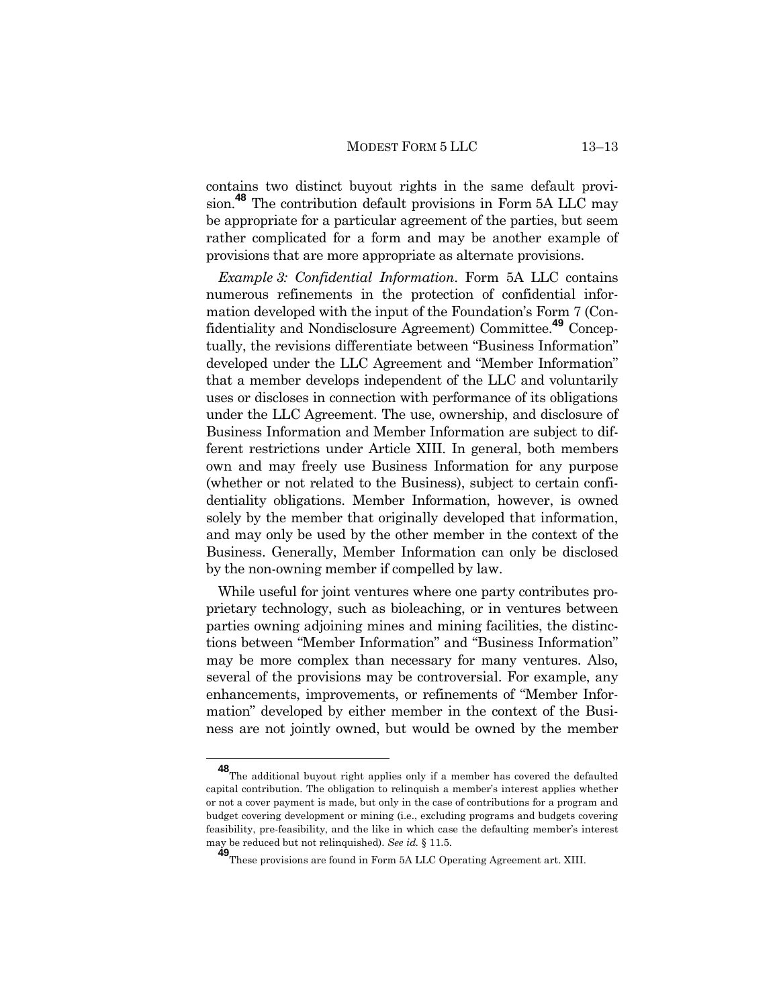contains two distinct buyout rights in the same default provision.**<sup>48</sup>** The contribution default provisions in Form 5A LLC may be appropriate for a particular agreement of the parties, but seem rather complicated for a form and may be another example of provisions that are more appropriate as alternate provisions.

*Example 3: Confidential Information*. Form 5A LLC contains numerous refinements in the protection of confidential information developed with the input of the Foundation's Form 7 (Confidentiality and Nondisclosure Agreement) Committee.**<sup>49</sup>** Conceptually, the revisions differentiate between "Business Information" developed under the LLC Agreement and "Member Information" that a member develops independent of the LLC and voluntarily uses or discloses in connection with performance of its obligations under the LLC Agreement. The use, ownership, and disclosure of Business Information and Member Information are subject to different restrictions under Article XIII. In general, both members own and may freely use Business Information for any purpose (whether or not related to the Business), subject to certain confidentiality obligations. Member Information, however, is owned solely by the member that originally developed that information, and may only be used by the other member in the context of the Business. Generally, Member Information can only be disclosed by the non-owning member if compelled by law.

While useful for joint ventures where one party contributes proprietary technology, such as bioleaching, or in ventures between parties owning adjoining mines and mining facilities, the distinctions between "Member Information" and "Business Information" may be more complex than necessary for many ventures. Also, several of the provisions may be controversial. For example, any enhancements, improvements, or refinements of "Member Information" developed by either member in the context of the Business are not jointly owned, but would be owned by the member

**<sup>48</sup>**The additional buyout right applies only if a member has covered the defaulted capital contribution. The obligation to relinquish a member's interest applies whether or not a cover payment is made, but only in the case of contributions for a program and budget covering development or mining (i.e., excluding programs and budgets covering feasibility, pre-feasibility, and the like in which case the defaulting member's interest may be reduced but not relinquished). *See id.* § 11.5.

**<sup>49</sup>**These provisions are found in Form 5A LLC Operating Agreement art. XIII.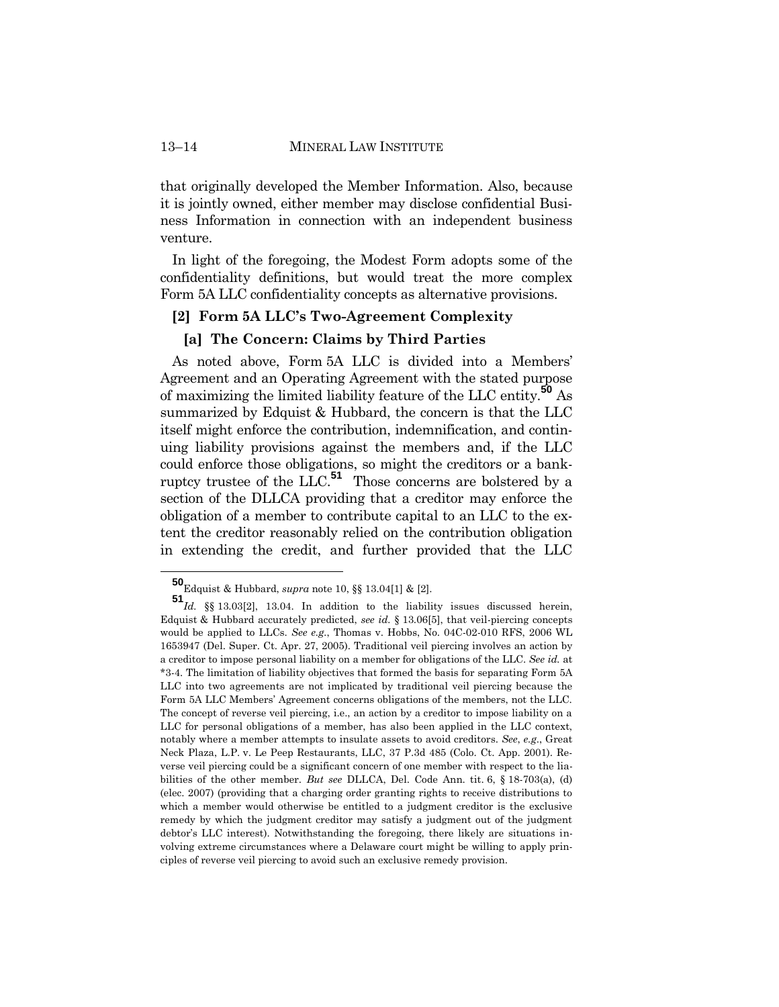that originally developed the Member Information. Also, because it is jointly owned, either member may disclose confidential Business Information in connection with an independent business venture.

In light of the foregoing, the Modest Form adopts some of the confidentiality definitions, but would treat the more complex Form 5A LLC confidentiality concepts as alternative provisions.

# **[2] Form 5A LLC's Two-Agreement Complexity**

#### **[a] The Concern: Claims by Third Parties**

As noted above, Form 5A LLC is divided into a Members' Agreement and an Operating Agreement with the stated purpose of maximizing the limited liability feature of the LLC entity.**<sup>50</sup>** As summarized by Edquist & Hubbard, the concern is that the LLC itself might enforce the contribution, indemnification, and continuing liability provisions against the members and, if the LLC could enforce those obligations, so might the creditors or a bankruptcy trustee of the LLC.**<sup>51</sup>** Those concerns are bolstered by a section of the DLLCA providing that a creditor may enforce the obligation of a member to contribute capital to an LLC to the extent the creditor reasonably relied on the contribution obligation in extending the credit, and further provided that the LLC

**<sup>50</sup>**Edquist & Hubbard, *supra* note 10, §§ 13.04[1] & [2].

**<sup>51</sup>***Id.* §§ 13.03[2], 13.04. In addition to the liability issues discussed herein, Edquist & Hubbard accurately predicted, *see id.* § 13.06[5], that veil-piercing concepts would be applied to LLCs. *See e.g.*, Thomas v. Hobbs, No. 04C-02-010 RFS, 2006 WL 1653947 (Del. Super. Ct. Apr. 27, 2005). Traditional veil piercing involves an action by a creditor to impose personal liability on a member for obligations of the LLC. *See id.* at \*3-4. The limitation of liability objectives that formed the basis for separating Form 5A LLC into two agreements are not implicated by traditional veil piercing because the Form 5A LLC Members' Agreement concerns obligations of the members, not the LLC. The concept of reverse veil piercing, i.e., an action by a creditor to impose liability on a LLC for personal obligations of a member, has also been applied in the LLC context, notably where a member attempts to insulate assets to avoid creditors. *See*, *e.g*., Great Neck Plaza, L.P. v. Le Peep Restaurants, LLC, 37 P.3d 485 (Colo. Ct. App. 2001). Reverse veil piercing could be a significant concern of one member with respect to the liabilities of the other member. *But see* DLLCA, Del. Code Ann. tit. 6, § 18-703(a), (d) (elec. 2007) (providing that a charging order granting rights to receive distributions to which a member would otherwise be entitled to a judgment creditor is the exclusive remedy by which the judgment creditor may satisfy a judgment out of the judgment debtor's LLC interest). Notwithstanding the foregoing, there likely are situations involving extreme circumstances where a Delaware court might be willing to apply principles of reverse veil piercing to avoid such an exclusive remedy provision.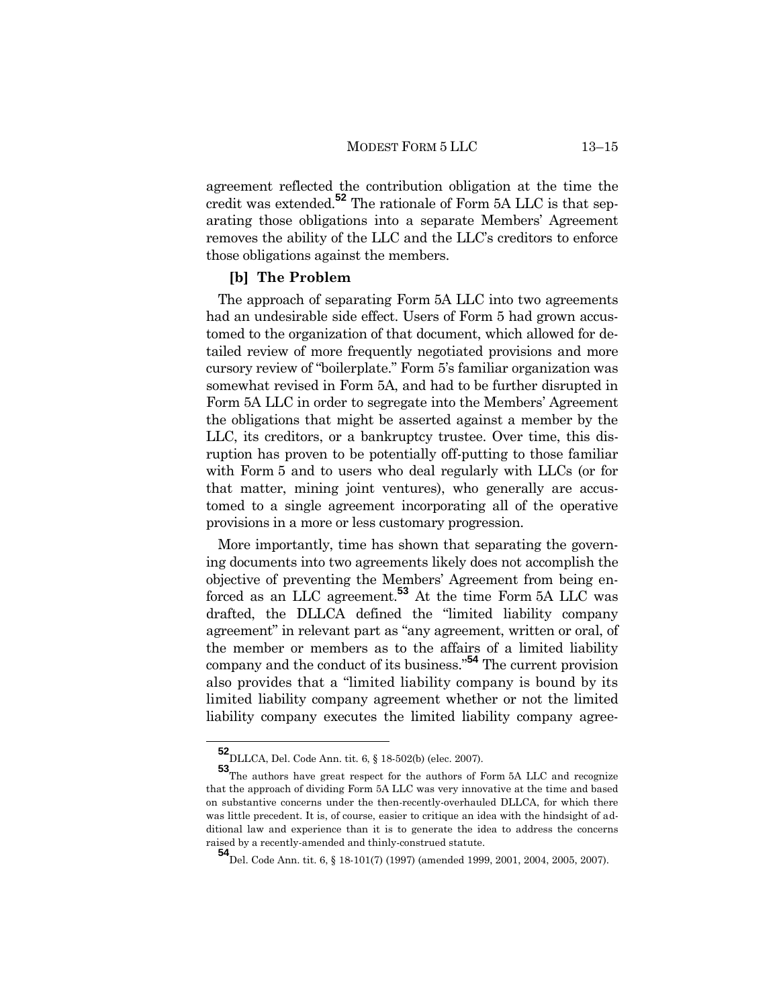agreement reflected the contribution obligation at the time the credit was extended.**<sup>52</sup>** The rationale of Form 5A LLC is that separating those obligations into a separate Members' Agreement removes the ability of the LLC and the LLC's creditors to enforce those obligations against the members.

#### **[b] The Problem**

The approach of separating Form 5A LLC into two agreements had an undesirable side effect. Users of Form 5 had grown accustomed to the organization of that document, which allowed for detailed review of more frequently negotiated provisions and more cursory review of "boilerplate." Form 5's familiar organization was somewhat revised in Form 5A, and had to be further disrupted in Form 5A LLC in order to segregate into the Members' Agreement the obligations that might be asserted against a member by the LLC, its creditors, or a bankruptcy trustee. Over time, this disruption has proven to be potentially off-putting to those familiar with Form 5 and to users who deal regularly with LLCs (or for that matter, mining joint ventures), who generally are accustomed to a single agreement incorporating all of the operative provisions in a more or less customary progression.

More importantly, time has shown that separating the governing documents into two agreements likely does not accomplish the objective of preventing the Members' Agreement from being enforced as an LLC agreement.**<sup>53</sup>** At the time Form 5A LLC was drafted, the DLLCA defined the "limited liability company agreement" in relevant part as "any agreement, written or oral, of the member or members as to the affairs of a limited liability company and the conduct of its business."**<sup>54</sup>** The current provision also provides that a "limited liability company is bound by its limited liability company agreement whether or not the limited liability company executes the limited liability company agree-

**<sup>52</sup>**DLLCA, Del. Code Ann. tit. 6, § 18-502(b) (elec. 2007).

**<sup>53</sup>**The authors have great respect for the authors of Form 5A LLC and recognize that the approach of dividing Form 5A LLC was very innovative at the time and based on substantive concerns under the then-recently-overhauled DLLCA, for which there was little precedent. It is, of course, easier to critique an idea with the hindsight of additional law and experience than it is to generate the idea to address the concerns raised by a recently-amended and thinly-construed statute.

**<sup>54</sup>**Del. Code Ann. tit. 6, § 18-101(7) (1997) (amended 1999, 2001, 2004, 2005, 2007).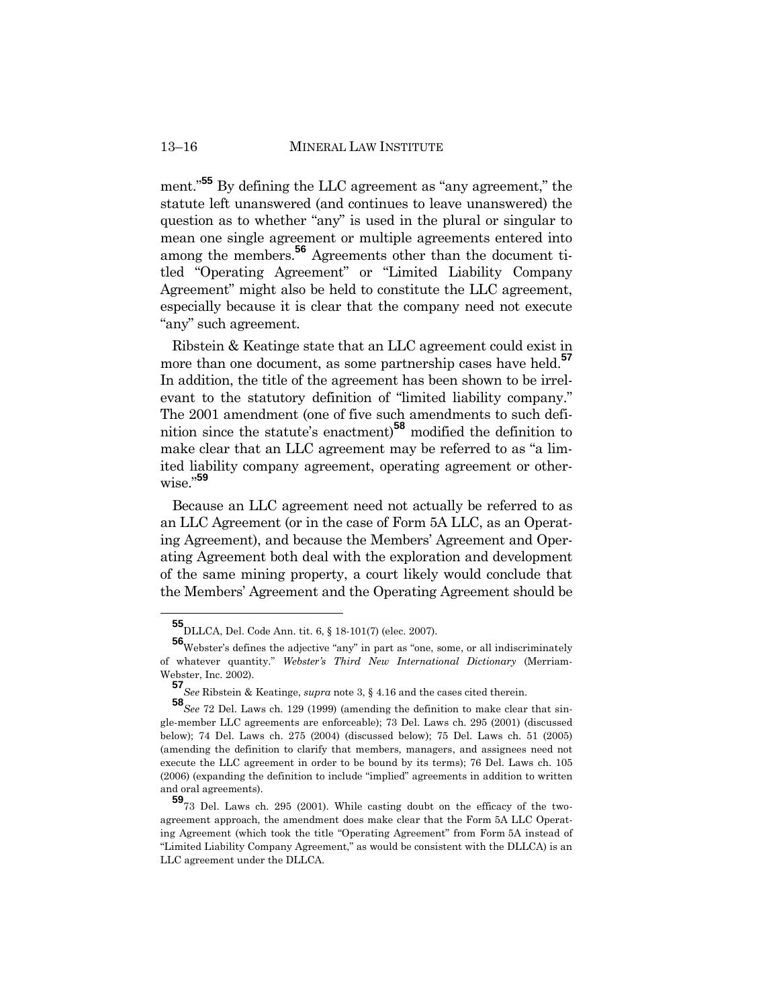ment." **<sup>55</sup>** By defining the LLC agreement as "any agreement," the statute left unanswered (and continues to leave unanswered) the question as to whether "any" is used in the plural or singular to mean one single agreement or multiple agreements entered into among the members.**<sup>56</sup>** Agreements other than the document titled "Operating Agreement" or "Limited Liability Company Agreement" might also be held to constitute the LLC agreement, especially because it is clear that the company need not execute "any" such agreement.

Ribstein & Keatinge state that an LLC agreement could exist in more than one document, as some partnership cases have held.<sup>57</sup> In addition, the title of the agreement has been shown to be irrelevant to the statutory definition of "limited liability company." The 2001 amendment (one of five such amendments to such definition since the statute's enactment)<sup>58</sup> modified the definition to make clear that an LLC agreement may be referred to as "a limited liability company agreement, operating agreement or otherwise."**<sup>59</sup>**

Because an LLC agreement need not actually be referred to as an LLC Agreement (or in the case of Form 5A LLC, as an Operating Agreement), and because the Members' Agreement and Operating Agreement both deal with the exploration and development of the same mining property, a court likely would conclude that the Members' Agreement and the Operating Agreement should be

**<sup>55</sup>**DLLCA, Del. Code Ann. tit. 6, § 18-101(7) (elec. 2007).

**<sup>56</sup>**Webster's defines the adjective "any" in part as "one, some, or all indiscriminately of whatever quantity." *Webster's Third New International Dictionary* (Merriam-Webster, Inc. 2002).

**<sup>57</sup>***See* Ribstein & Keatinge, *supra* note 3, § 4.16 and the cases cited therein.

**<sup>58</sup>***See* 72 Del. Laws ch. 129 (1999) (amending the definition to make clear that single-member LLC agreements are enforceable); 73 Del. Laws ch. 295 (2001) (discussed below); 74 Del. Laws ch. 275 (2004) (discussed below); 75 Del. Laws ch. 51 (2005) (amending the definition to clarify that members, managers, and assignees need not execute the LLC agreement in order to be bound by its terms); 76 Del. Laws ch. 105 (2006) (expanding the definition to include "implied" agreements in addition to written and oral agreements).

**<sup>59</sup>**73 Del. Laws ch. 295 (2001). While casting doubt on the efficacy of the twoagreement approach, the amendment does make clear that the Form 5A LLC Operating Agreement (which took the title "Operating Agreement" from Form 5A instead of "Limited Liability Company Agreement," as would be consistent with the DLLCA) is an LLC agreement under the DLLCA.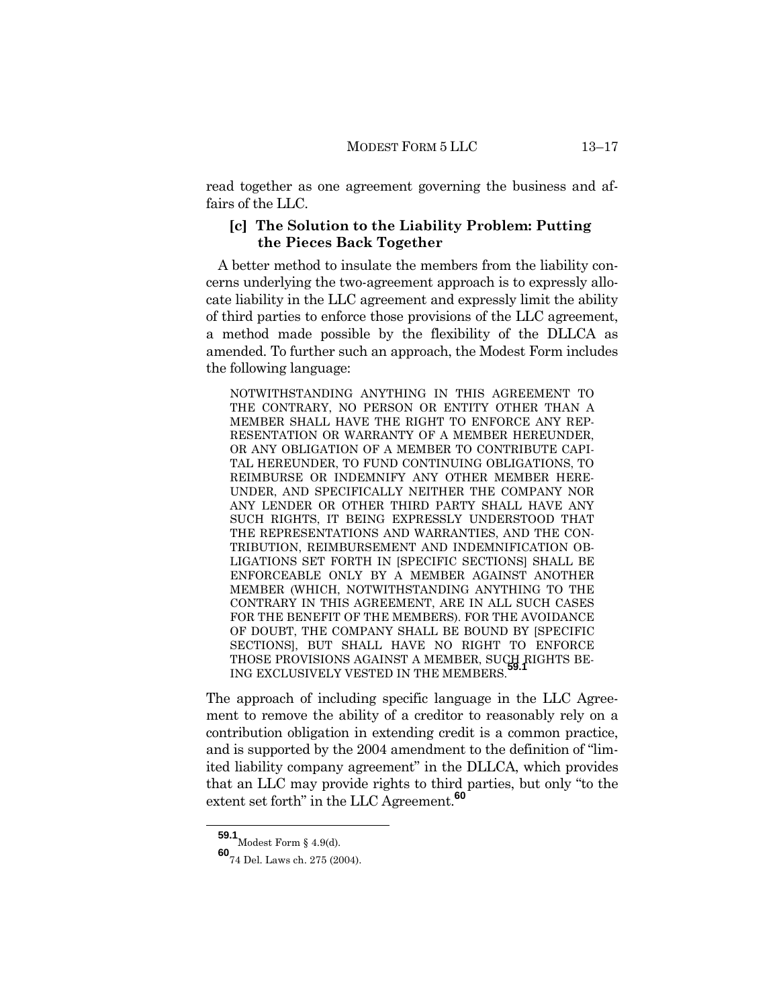read together as one agreement governing the business and affairs of the LLC.

# **[c] The Solution to the Liability Problem: Putting the Pieces Back Together**

A better method to insulate the members from the liability concerns underlying the two-agreement approach is to expressly allocate liability in the LLC agreement and expressly limit the ability of third parties to enforce those provisions of the LLC agreement, a method made possible by the flexibility of the DLLCA as amended. To further such an approach, the Modest Form includes the following language:

NOTWITHSTANDING ANYTHING IN THIS AGREEMENT TO THE CONTRARY, NO PERSON OR ENTITY OTHER THAN A MEMBER SHALL HAVE THE RIGHT TO ENFORCE ANY REP-RESENTATION OR WARRANTY OF A MEMBER HEREUNDER, OR ANY OBLIGATION OF A MEMBER TO CONTRIBUTE CAPI-TAL HEREUNDER, TO FUND CONTINUING OBLIGATIONS, TO REIMBURSE OR INDEMNIFY ANY OTHER MEMBER HERE-UNDER, AND SPECIFICALLY NEITHER THE COMPANY NOR ANY LENDER OR OTHER THIRD PARTY SHALL HAVE ANY SUCH RIGHTS, IT BEING EXPRESSLY UNDERSTOOD THAT THE REPRESENTATIONS AND WARRANTIES, AND THE CON-TRIBUTION, REIMBURSEMENT AND INDEMNIFICATION OB-LIGATIONS SET FORTH IN [SPECIFIC SECTIONS] SHALL BE ENFORCEABLE ONLY BY A MEMBER AGAINST ANOTHER MEMBER (WHICH, NOTWITHSTANDING ANYTHING TO THE CONTRARY IN THIS AGREEMENT, ARE IN ALL SUCH CASES FOR THE BENEFIT OF THE MEMBERS). FOR THE AVOIDANCE OF DOUBT, THE COMPANY SHALL BE BOUND BY [SPECIFIC SECTIONS], BUT SHALL HAVE NO RIGHT TO ENFORCE THOSE PROVISIONS AGAINST A MEMBER, SUCH RIGHTS BE-ING EXCLUSIVELY VESTED IN THE MEMBERS.

The approach of including specific language in the LLC Agreement to remove the ability of a creditor to reasonably rely on a contribution obligation in extending credit is a common practice, and is supported by the 2004 amendment to the definition of "limited liability company agreement" in the DLLCA, which provides that an LLC may provide rights to third parties, but only "to the extent set forth" in the LLC Agreement.**<sup>60</sup>**

 ${\bf 59.1}_{\rm{Modest}$  Form § 4.9(d).

**<sup>60</sup>**74 Del. Laws ch. 275 (2004).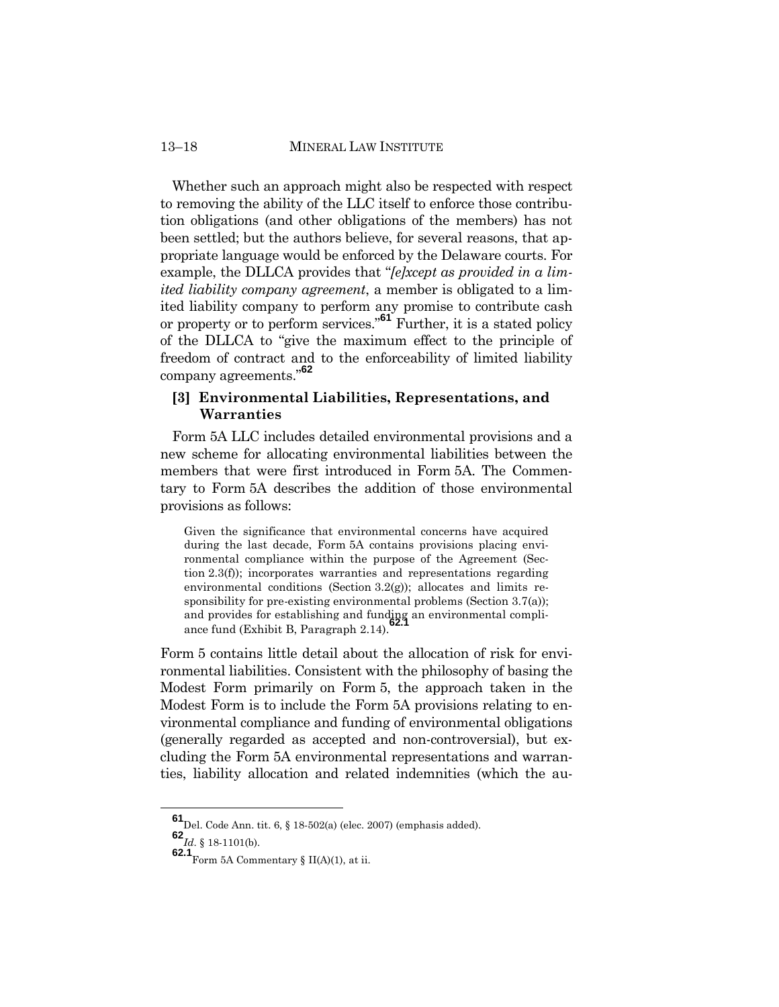Whether such an approach might also be respected with respect to removing the ability of the LLC itself to enforce those contribution obligations (and other obligations of the members) has not been settled; but the authors believe, for several reasons, that appropriate language would be enforced by the Delaware courts. For example, the DLLCA provides that "*[e]xcept as provided in a limited liability company agreement*, a member is obligated to a limited liability company to perform any promise to contribute cash or property or to perform services."**<sup>61</sup>** Further, it is a stated policy of the DLLCA to "give the maximum effect to the principle of freedom of contract and to the enforceability of limited liability company agreements."**<sup>62</sup>**

# **[3] Environmental Liabilities, Representations, and Warranties**

Form 5A LLC includes detailed environmental provisions and a new scheme for allocating environmental liabilities between the members that were first introduced in Form 5A. The Commentary to Form 5A describes the addition of those environmental provisions as follows:

Given the significance that environmental concerns have acquired during the last decade, Form 5A contains provisions placing environmental compliance within the purpose of the Agreement (Section 2.3(f)); incorporates warranties and representations regarding environmental conditions (Section  $3.2(g)$ ); allocates and limits responsibility for pre-existing environmental problems (Section 3.7(a)); and provides for establishing and funding an environmental compliance fund (Exhibit B, Paragraph 2.14).

Form 5 contains little detail about the allocation of risk for environmental liabilities. Consistent with the philosophy of basing the Modest Form primarily on Form 5, the approach taken in the Modest Form is to include the Form 5A provisions relating to environmental compliance and funding of environmental obligations (generally regarded as accepted and non-controversial), but excluding the Form 5A environmental representations and warranties, liability allocation and related indemnities (which the au-

**<sup>61</sup>**Del. Code Ann. tit. 6, § 18-502(a) (elec. 2007) (emphasis added).

**<sup>62</sup>***Id*. § 18-1101(b).

**<sup>62.1</sup>** Form 5A Commentary §  $II(A)(1)$ , at ii.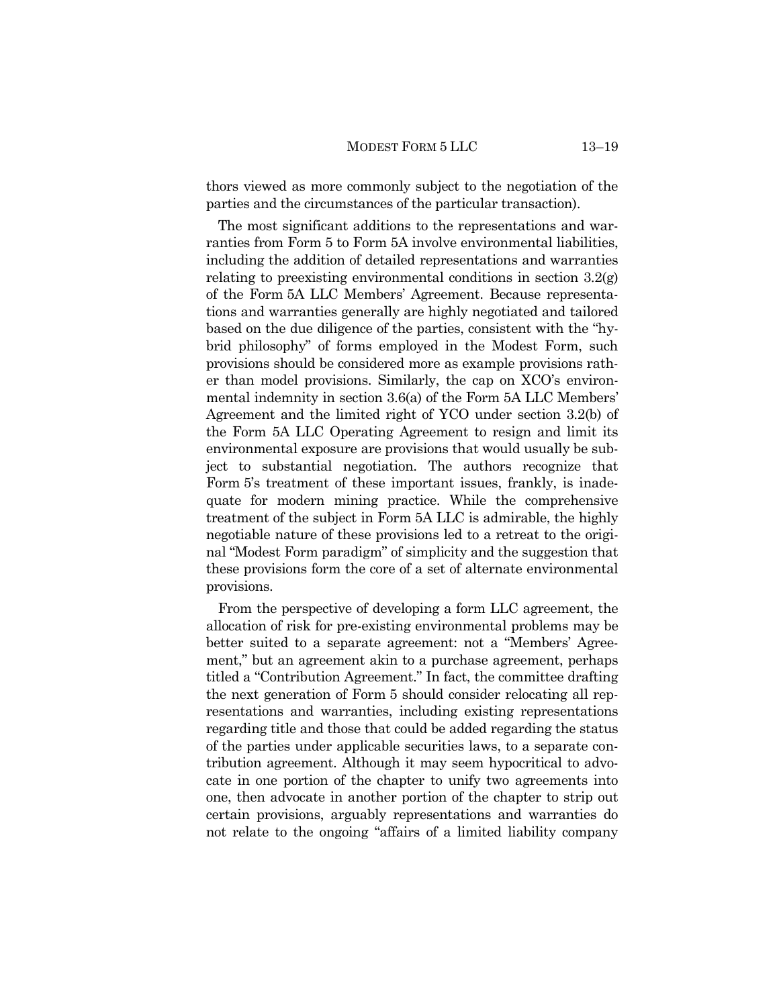thors viewed as more commonly subject to the negotiation of the parties and the circumstances of the particular transaction).

The most significant additions to the representations and warranties from Form 5 to Form 5A involve environmental liabilities, including the addition of detailed representations and warranties relating to preexisting environmental conditions in section 3.2(g) of the Form 5A LLC Members' Agreement. Because representations and warranties generally are highly negotiated and tailored based on the due diligence of the parties, consistent with the "hybrid philosophy" of forms employed in the Modest Form, such provisions should be considered more as example provisions rather than model provisions. Similarly, the cap on XCO's environmental indemnity in section 3.6(a) of the Form 5A LLC Members' Agreement and the limited right of YCO under section 3.2(b) of the Form 5A LLC Operating Agreement to resign and limit its environmental exposure are provisions that would usually be subject to substantial negotiation. The authors recognize that Form 5's treatment of these important issues, frankly, is inadequate for modern mining practice. While the comprehensive treatment of the subject in Form 5A LLC is admirable, the highly negotiable nature of these provisions led to a retreat to the original "Modest Form paradigm" of simplicity and the suggestion that these provisions form the core of a set of alternate environmental provisions.

From the perspective of developing a form LLC agreement, the allocation of risk for pre-existing environmental problems may be better suited to a separate agreement: not a "Members' Agreement," but an agreement akin to a purchase agreement, perhaps titled a "Contribution Agreement." In fact, the committee drafting the next generation of Form 5 should consider relocating all representations and warranties, including existing representations regarding title and those that could be added regarding the status of the parties under applicable securities laws, to a separate contribution agreement. Although it may seem hypocritical to advocate in one portion of the chapter to unify two agreements into one, then advocate in another portion of the chapter to strip out certain provisions, arguably representations and warranties do not relate to the ongoing "affairs of a limited liability company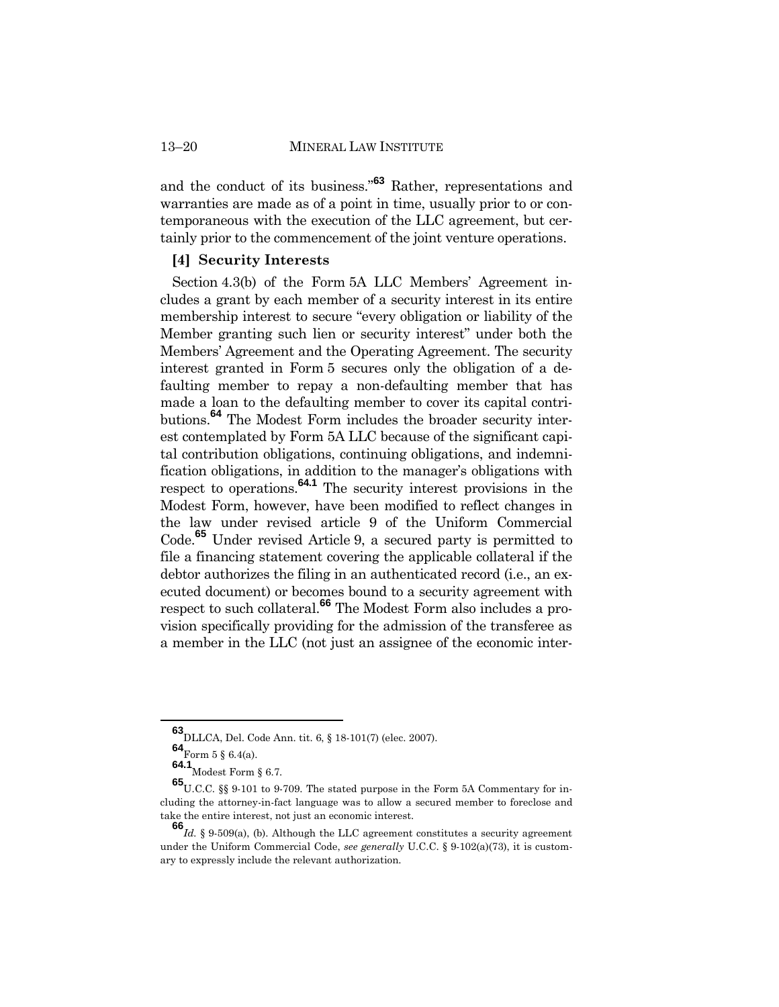and the conduct of its business."**<sup>63</sup>** Rather, representations and warranties are made as of a point in time, usually prior to or contemporaneous with the execution of the LLC agreement, but certainly prior to the commencement of the joint venture operations.

#### **[4] Security Interests**

Section 4.3(b) of the Form 5A LLC Members' Agreement includes a grant by each member of a security interest in its entire membership interest to secure "every obligation or liability of the Member granting such lien or security interest" under both the Members' Agreement and the Operating Agreement. The security interest granted in Form 5 secures only the obligation of a defaulting member to repay a non-defaulting member that has made a loan to the defaulting member to cover its capital contributions.**<sup>64</sup>** The Modest Form includes the broader security interest contemplated by Form 5A LLC because of the significant capital contribution obligations, continuing obligations, and indemnification obligations, in addition to the manager's obligations with respect to operations.**64.1** The security interest provisions in the Modest Form, however, have been modified to reflect changes in the law under revised article 9 of the Uniform Commercial Code.**<sup>65</sup>** Under revised Article 9, a secured party is permitted to file a financing statement covering the applicable collateral if the debtor authorizes the filing in an authenticated record (i.e., an executed document) or becomes bound to a security agreement with respect to such collateral.**<sup>66</sup>** The Modest Form also includes a provision specifically providing for the admission of the transferee as a member in the LLC (not just an assignee of the economic inter-

**<sup>63</sup>**DLLCA, Del. Code Ann. tit. 6, § 18-101(7) (elec. 2007).

**<sup>64</sup>**Form 5 § 6.4(a).

**<sup>64.1</sup>**Modest Form § 6.7.

**<sup>65</sup>**U.C.C. §§ 9-101 to 9-709. The stated purpose in the Form 5A Commentary for including the attorney-in-fact language was to allow a secured member to foreclose and take the entire interest, not just an economic interest.

**<sup>66</sup>***Id.* § 9-509(a), (b). Although the LLC agreement constitutes a security agreement under the Uniform Commercial Code, *see generally* U.C.C. § 9-102(a)(73), it is customary to expressly include the relevant authorization.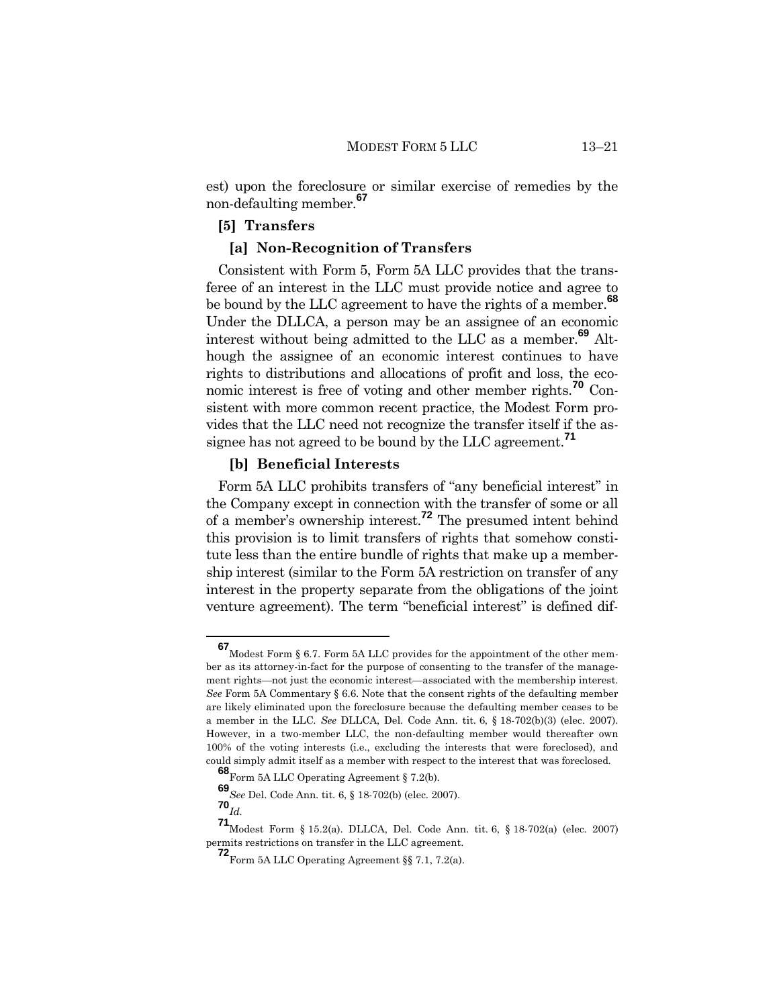est) upon the foreclosure or similar exercise of remedies by the non-defaulting member.**<sup>67</sup>**

## **[5] Transfers**

# **[a] Non-Recognition of Transfers**

Consistent with Form 5, Form 5A LLC provides that the transferee of an interest in the LLC must provide notice and agree to be bound by the LLC agreement to have the rights of a member.**<sup>68</sup>** Under the DLLCA, a person may be an assignee of an economic interest without being admitted to the LLC as a member.**<sup>69</sup>** Although the assignee of an economic interest continues to have rights to distributions and allocations of profit and loss, the economic interest is free of voting and other member rights.**<sup>70</sup>** Consistent with more common recent practice, the Modest Form provides that the LLC need not recognize the transfer itself if the assignee has not agreed to be bound by the LLC agreement. **71**

#### **[b] Beneficial Interests**

Form 5A LLC prohibits transfers of "any beneficial interest" in the Company except in connection with the transfer of some or all of a member's ownership interest.**<sup>72</sup>** The presumed intent behind this provision is to limit transfers of rights that somehow constitute less than the entire bundle of rights that make up a membership interest (similar to the Form 5A restriction on transfer of any interest in the property separate from the obligations of the joint venture agreement). The term "beneficial interest" is defined dif-

**<sup>67</sup>**Modest Form § 6.7. Form 5A LLC provides for the appointment of the other member as its attorney-in-fact for the purpose of consenting to the transfer of the management rights—not just the economic interest—associated with the membership interest. *See* Form 5A Commentary § 6.6. Note that the consent rights of the defaulting member are likely eliminated upon the foreclosure because the defaulting member ceases to be a member in the LLC. *See* DLLCA, Del. Code Ann. tit. 6, § 18-702(b)(3) (elec. 2007). However, in a two-member LLC, the non-defaulting member would thereafter own 100% of the voting interests (i.e., excluding the interests that were foreclosed), and could simply admit itself as a member with respect to the interest that was foreclosed.

**<sup>68</sup>**Form 5A LLC Operating Agreement § 7.2(b).

**<sup>69</sup>***See* Del. Code Ann. tit. 6, § 18-702(b) (elec. 2007).

**<sup>70</sup>***Id.*

**<sup>71</sup>**Modest Form § 15.2(a). DLLCA, Del. Code Ann. tit. 6, § 18-702(a) (elec. 2007) permits restrictions on transfer in the LLC agreement.

**<sup>72</sup>**Form 5A LLC Operating Agreement §§ 7.1, 7.2(a).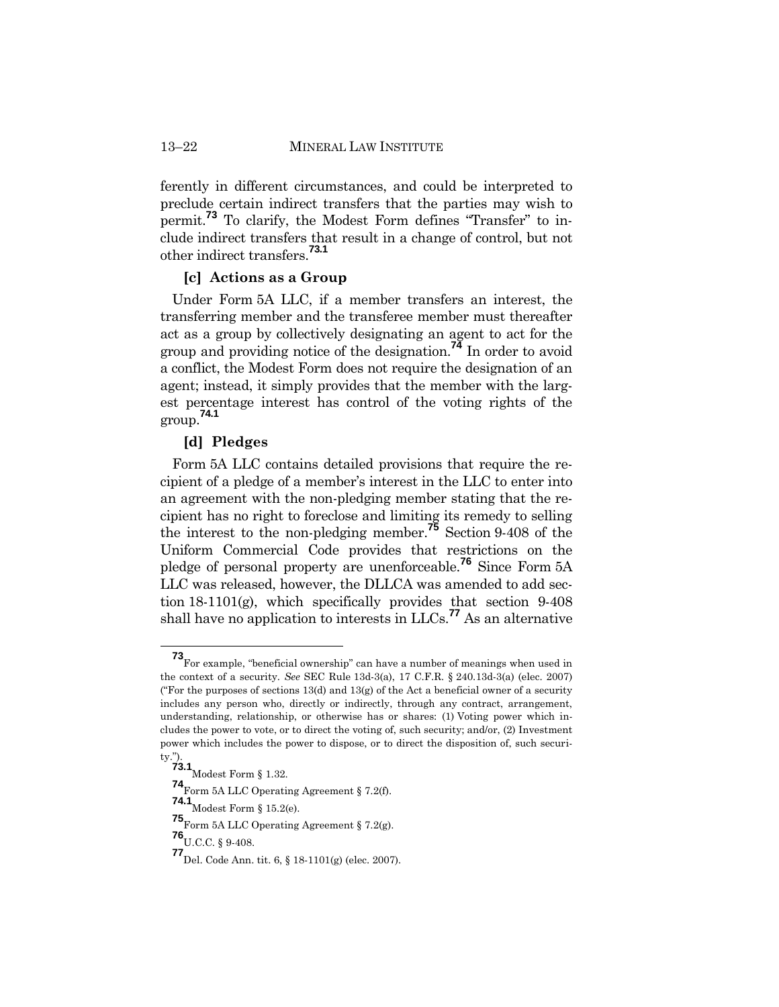ferently in different circumstances, and could be interpreted to preclude certain indirect transfers that the parties may wish to permit.**<sup>73</sup>** To clarify, the Modest Form defines "Transfer" to include indirect transfers that result in a change of control, but not other indirect transfers. **73.1**

#### **[c] Actions as a Group**

Under Form 5A LLC, if a member transfers an interest, the transferring member and the transferee member must thereafter act as a group by collectively designating an agent to act for the group and providing notice of the designation.**<sup>74</sup>** In order to avoid a conflict, the Modest Form does not require the designation of an agent; instead, it simply provides that the member with the largest percentage interest has control of the voting rights of the group. **74.1**

# **[d] Pledges**

Form 5A LLC contains detailed provisions that require the recipient of a pledge of a member's interest in the LLC to enter into an agreement with the non-pledging member stating that the recipient has no right to foreclose and limiting its remedy to selling the interest to the non-pledging member. **<sup>75</sup>** Section 9-408 of the Uniform Commercial Code provides that restrictions on the pledge of personal property are unenforceable.**<sup>76</sup>** Since Form 5A LLC was released, however, the DLLCA was amended to add section 18-1101(g), which specifically provides that section 9-408 shall have no application to interests in LLCs.**<sup>77</sup>** As an alternative

**<sup>73</sup>**For example, "beneficial ownership" can have a number of meanings when used in the context of a security. *See* SEC Rule 13d-3(a), 17 C.F.R. § 240.13d-3(a) (elec. 2007) ("For the purposes of sections  $13(d)$  and  $13(g)$  of the Act a beneficial owner of a security includes any person who, directly or indirectly, through any contract, arrangement, understanding, relationship, or otherwise has or shares: (1) Voting power which includes the power to vote, or to direct the voting of, such security; and/or, (2) Investment power which includes the power to dispose, or to direct the disposition of, such security.").

**<sup>73.1</sup>**Modest Form § 1.32.

**<sup>74</sup>**Form 5A LLC Operating Agreement § 7.2(f).

**<sup>74.1</sup>** Modest Form § 15.2(e).

**<sup>75</sup>**Form 5A LLC Operating Agreement § 7.2(g).

**<sup>76</sup>**U.C.C. § 9-408.

**<sup>77</sup>**Del. Code Ann. tit. 6, § 18-1101(g) (elec. 2007).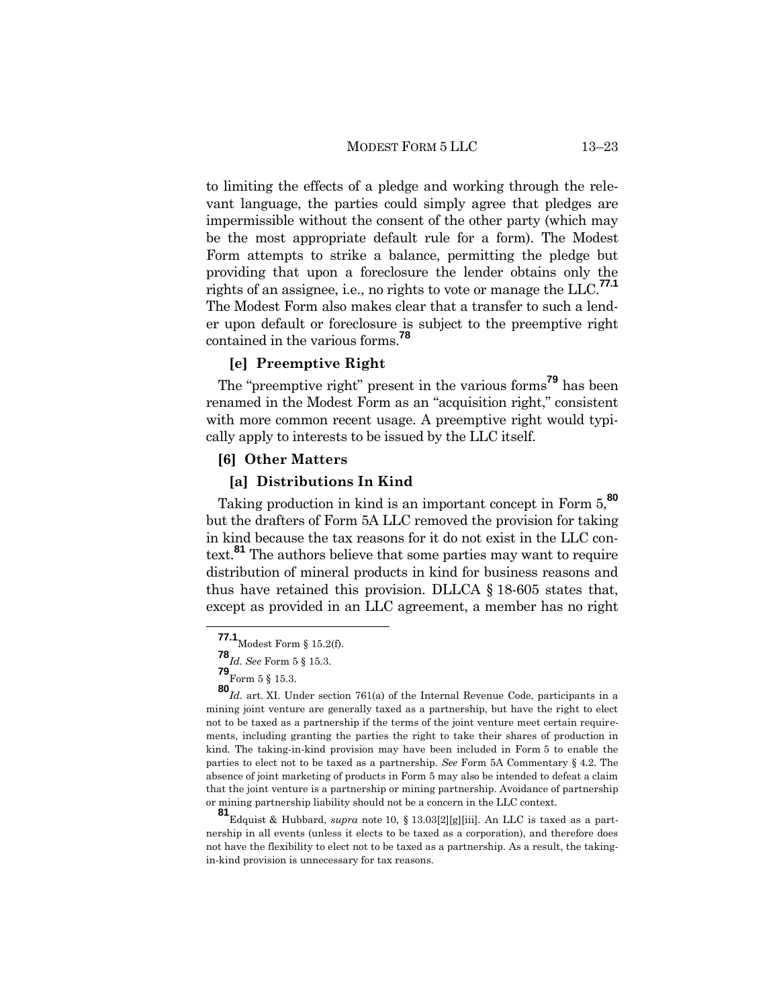to limiting the effects of a pledge and working through the relevant language, the parties could simply agree that pledges are impermissible without the consent of the other party (which may be the most appropriate default rule for a form). The Modest Form attempts to strike a balance, permitting the pledge but providing that upon a foreclosure the lender obtains only the rights of an assignee, i.e., no rights to vote or manage the LLC.**77.1** The Modest Form also makes clear that a transfer to such a lender upon default or foreclosure is subject to the preemptive right contained in the various forms.**<sup>78</sup>**

#### **[e] Preemptive Right**

The "preemptive right" present in the various forms**<sup>79</sup>** has been renamed in the Modest Form as an "acquisition right," consistent with more common recent usage. A preemptive right would typically apply to interests to be issued by the LLC itself.

#### **[6] Other Matters**

# **[a] Distributions In Kind**

Taking production in kind is an important concept in Form 5,**<sup>80</sup>** but the drafters of Form 5A LLC removed the provision for taking in kind because the tax reasons for it do not exist in the LLC context. **<sup>81</sup>** The authors believe that some parties may want to require distribution of mineral products in kind for business reasons and thus have retained this provision. DLLCA § 18-605 states that, except as provided in an LLC agreement, a member has no right

**<sup>81</sup>**Edquist & Hubbard, *supra* note 10, § 13.03[2][g][iii]. An LLC is taxed as a partnership in all events (unless it elects to be taxed as a corporation), and therefore does not have the flexibility to elect not to be taxed as a partnership. As a result, the takingin-kind provision is unnecessary for tax reasons.

**<sup>77.1</sup>** Modest Form § 15.2(f).

**<sup>78</sup>***Id. See* Form 5 § 15.3.

**<sup>79</sup>**Form 5 § 15.3.

**<sup>80</sup>***Id*. art. XI. Under section 761(a) of the Internal Revenue Code, participants in a mining joint venture are generally taxed as a partnership, but have the right to elect not to be taxed as a partnership if the terms of the joint venture meet certain requirements, including granting the parties the right to take their shares of production in kind. The taking-in-kind provision may have been included in Form 5 to enable the parties to elect not to be taxed as a partnership. *See* Form 5A Commentary § 4.2. The absence of joint marketing of products in Form 5 may also be intended to defeat a claim that the joint venture is a partnership or mining partnership. Avoidance of partnership or mining partnership liability should not be a concern in the LLC context.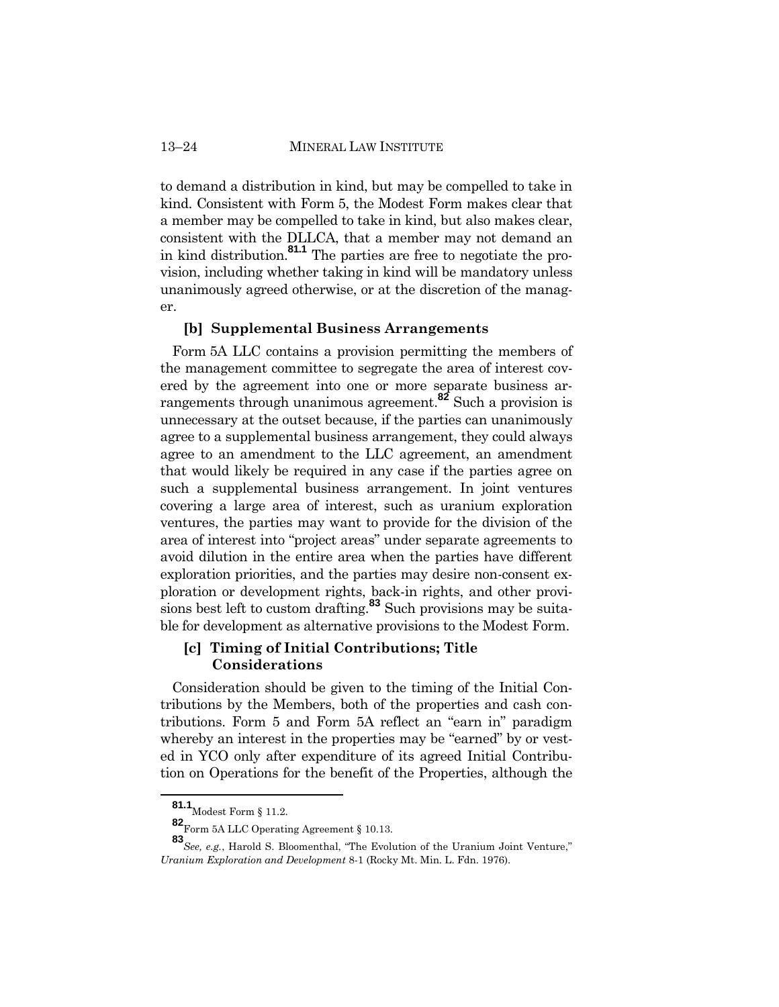to demand a distribution in kind, but may be compelled to take in kind. Consistent with Form 5, the Modest Form makes clear that a member may be compelled to take in kind, but also makes clear, consistent with the DLLCA, that a member may not demand an in kind distribution.**81.1** The parties are free to negotiate the provision, including whether taking in kind will be mandatory unless unanimously agreed otherwise, or at the discretion of the manager.

### **[b] Supplemental Business Arrangements**

Form 5A LLC contains a provision permitting the members of the management committee to segregate the area of interest covered by the agreement into one or more separate business arrangements through unanimous agreement. **<sup>82</sup>** Such a provision is unnecessary at the outset because, if the parties can unanimously agree to a supplemental business arrangement, they could always agree to an amendment to the LLC agreement, an amendment that would likely be required in any case if the parties agree on such a supplemental business arrangement. In joint ventures covering a large area of interest, such as uranium exploration ventures, the parties may want to provide for the division of the area of interest into "project areas" under separate agreements to avoid dilution in the entire area when the parties have different exploration priorities, and the parties may desire non-consent exploration or development rights, back-in rights, and other provisions best left to custom drafting.**<sup>83</sup>** Such provisions may be suitable for development as alternative provisions to the Modest Form.

# **[c] Timing of Initial Contributions; Title Considerations**

Consideration should be given to the timing of the Initial Contributions by the Members, both of the properties and cash contributions. Form 5 and Form 5A reflect an "earn in" paradigm whereby an interest in the properties may be "earned" by or vested in YCO only after expenditure of its agreed Initial Contribution on Operations for the benefit of the Properties, although the

**<sup>81.1</sup>** Modest Form § 11.2.

**<sup>82</sup>**Form 5A LLC Operating Agreement § 10.13.

**<sup>83</sup>***See, e.g.*, Harold S. Bloomenthal, "The Evolution of the Uranium Joint Venture," *Uranium Exploration and Development* 8-1 (Rocky Mt. Min. L. Fdn. 1976).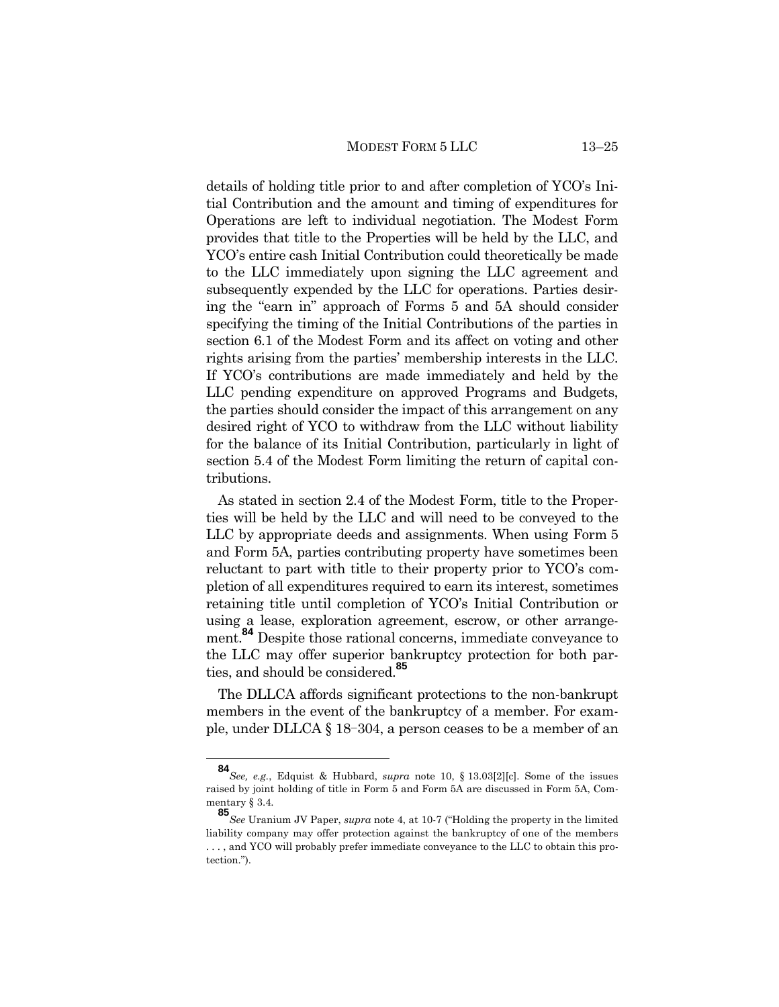details of holding title prior to and after completion of YCO's Initial Contribution and the amount and timing of expenditures for Operations are left to individual negotiation. The Modest Form provides that title to the Properties will be held by the LLC, and YCO's entire cash Initial Contribution could theoretically be made to the LLC immediately upon signing the LLC agreement and subsequently expended by the LLC for operations. Parties desiring the "earn in" approach of Forms 5 and 5A should consider specifying the timing of the Initial Contributions of the parties in section 6.1 of the Modest Form and its affect on voting and other rights arising from the parties' membership interests in the LLC. If YCO's contributions are made immediately and held by the LLC pending expenditure on approved Programs and Budgets, the parties should consider the impact of this arrangement on any desired right of YCO to withdraw from the LLC without liability for the balance of its Initial Contribution, particularly in light of section 5.4 of the Modest Form limiting the return of capital contributions.

As stated in section 2.4 of the Modest Form, title to the Properties will be held by the LLC and will need to be conveyed to the LLC by appropriate deeds and assignments. When using Form 5 and Form 5A, parties contributing property have sometimes been reluctant to part with title to their property prior to YCO's completion of all expenditures required to earn its interest, sometimes retaining title until completion of YCO's Initial Contribution or using a lease, exploration agreement, escrow, or other arrangement.**<sup>84</sup>** Despite those rational concerns, immediate conveyance to the LLC may offer superior bankruptcy protection for both parties, and should be considered.**<sup>85</sup>**

The DLLCA affords significant protections to the non-bankrupt members in the event of the bankruptcy of a member. For example, under DLLCA § 18-304, a person ceases to be a member of an

**<sup>84</sup>***See, e.g.*, Edquist & Hubbard, *supra* note 10, § 13.03[2][c]. Some of the issues raised by joint holding of title in Form 5 and Form 5A are discussed in Form 5A, Commentary § 3.4.

**<sup>85</sup>***See* Uranium JV Paper, *supra* note 4, at 10-7 ("Holding the property in the limited liability company may offer protection against the bankruptcy of one of the members . . . , and YCO will probably prefer immediate conveyance to the LLC to obtain this protection.").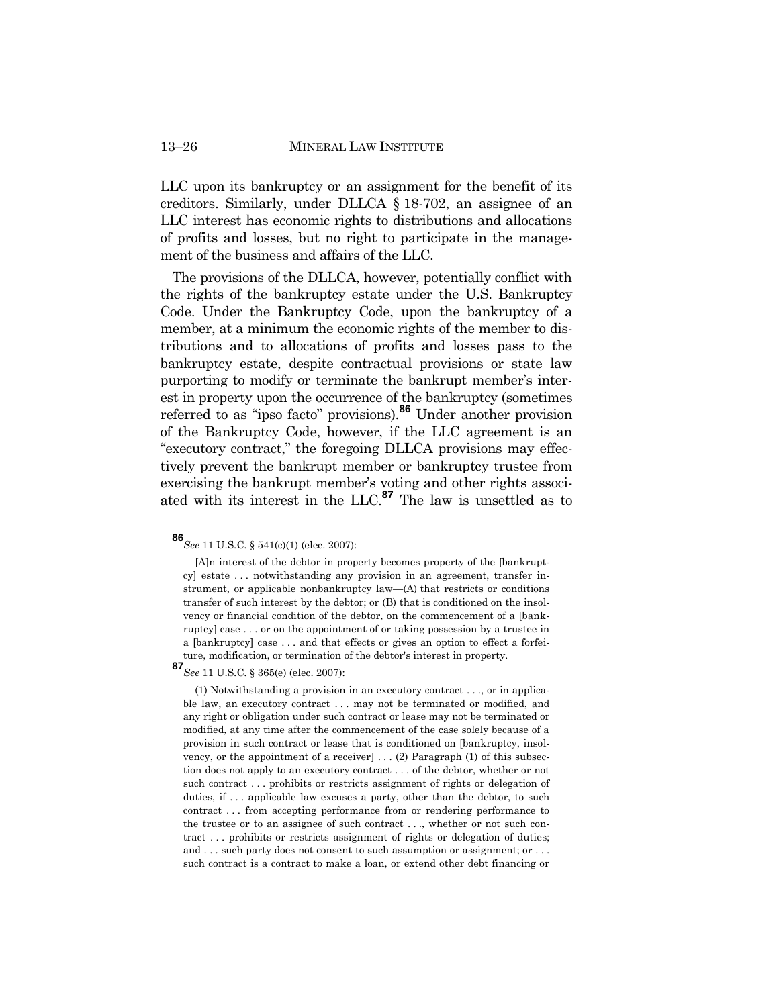LLC upon its bankruptcy or an assignment for the benefit of its creditors. Similarly, under DLLCA § 18-702, an assignee of an LLC interest has economic rights to distributions and allocations of profits and losses, but no right to participate in the management of the business and affairs of the LLC.

The provisions of the DLLCA, however, potentially conflict with the rights of the bankruptcy estate under the U.S. Bankruptcy Code. Under the Bankruptcy Code, upon the bankruptcy of a member, at a minimum the economic rights of the member to distributions and to allocations of profits and losses pass to the bankruptcy estate, despite contractual provisions or state law purporting to modify or terminate the bankrupt member's interest in property upon the occurrence of the bankruptcy (sometimes referred to as "ipso facto" provisions).**<sup>86</sup>** Under another provision of the Bankruptcy Code, however, if the LLC agreement is an "executory contract," the foregoing DLLCA provisions may effectively prevent the bankrupt member or bankruptcy trustee from exercising the bankrupt member's voting and other rights associated with its interest in the LLC.**<sup>87</sup>** The law is unsettled as to

**<sup>87</sup>***See* 11 U.S.C. § 365(e) (elec. 2007):

**<sup>86</sup>***See* 11 U.S.C. § 541(c)(1) (elec. 2007):

<sup>[</sup>A]n interest of the debtor in property becomes property of the [bankruptcy] estate . . . notwithstanding any provision in an agreement, transfer instrument, or applicable nonbankruptcy law—(A) that restricts or conditions transfer of such interest by the debtor; or (B) that is conditioned on the insolvency or financial condition of the debtor, on the commencement of a [bankruptcy] case . . . or on the appointment of or taking possession by a trustee in a [bankruptcy] case . . . and that effects or gives an option to effect a forfeiture, modification, or termination of the debtor's interest in property*.*

<sup>(1)</sup> Notwithstanding a provision in an executory contract . . ., or in applicable law, an executory contract . . . may not be terminated or modified, and any right or obligation under such contract or lease may not be terminated or modified, at any time after the commencement of the case solely because of a provision in such contract or lease that is conditioned on [bankruptcy, insolvency, or the appointment of a receiver]  $\dots$  (2) Paragraph (1) of this subsection does not apply to an executory contract . . . of the debtor, whether or not such contract . . . prohibits or restricts assignment of rights or delegation of duties, if ... applicable law excuses a party, other than the debtor, to such contract . . . from accepting performance from or rendering performance to the trustee or to an assignee of such contract . . ., whether or not such contract . . . prohibits or restricts assignment of rights or delegation of duties; and . . . such party does not consent to such assumption or assignment: or . . . such contract is a contract to make a loan, or extend other debt financing or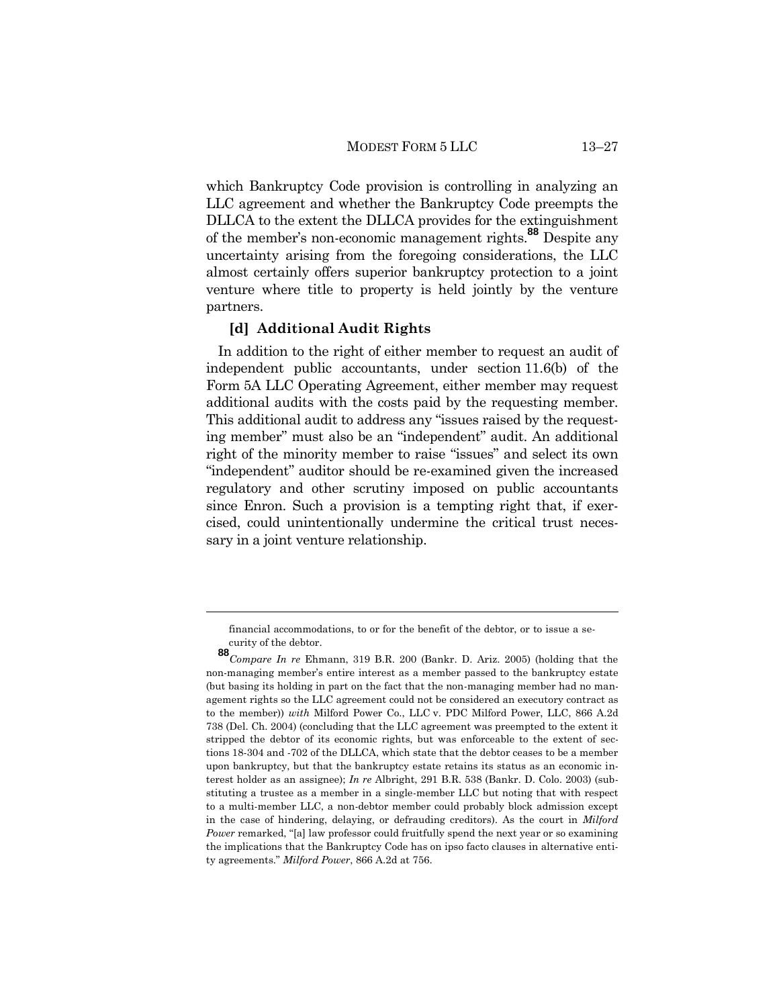which Bankruptcy Code provision is controlling in analyzing an LLC agreement and whether the Bankruptcy Code preempts the DLLCA to the extent the DLLCA provides for the extinguishment of the member's non-economic management rights.**<sup>88</sup>** Despite any uncertainty arising from the foregoing considerations, the LLC almost certainly offers superior bankruptcy protection to a joint venture where title to property is held jointly by the venture partners.

#### **[d] Additional Audit Rights**

In addition to the right of either member to request an audit of independent public accountants, under section 11.6(b) of the Form 5A LLC Operating Agreement, either member may request additional audits with the costs paid by the requesting member. This additional audit to address any "issues raised by the requesting member" must also be an "independent" audit. An additional right of the minority member to raise "issues" and select its own "independent" auditor should be re-examined given the increased regulatory and other scrutiny imposed on public accountants since Enron. Such a provision is a tempting right that, if exercised, could unintentionally undermine the critical trust necessary in a joint venture relationship.

financial accommodations, to or for the benefit of the debtor, or to issue a security of the debtor.

**<sup>88</sup>***Compare In re* Ehmann, 319 B.R. 200 (Bankr. D. Ariz. 2005) (holding that the non-managing member's entire interest as a member passed to the bankruptcy estate (but basing its holding in part on the fact that the non-managing member had no management rights so the LLC agreement could not be considered an executory contract as to the member)) *with* Milford Power Co., LLC v. PDC Milford Power, LLC, 866 A.2d 738 (Del. Ch. 2004) (concluding that the LLC agreement was preempted to the extent it stripped the debtor of its economic rights, but was enforceable to the extent of sections 18-304 and -702 of the DLLCA, which state that the debtor ceases to be a member upon bankruptcy, but that the bankruptcy estate retains its status as an economic interest holder as an assignee); *In re* Albright, 291 B.R. 538 (Bankr. D. Colo. 2003) (substituting a trustee as a member in a single-member LLC but noting that with respect to a multi-member LLC, a non-debtor member could probably block admission except in the case of hindering, delaying, or defrauding creditors). As the court in *Milford Power* remarked, "[a] law professor could fruitfully spend the next year or so examining the implications that the Bankruptcy Code has on ipso facto clauses in alternative entity agreements." *Milford Power*, 866 A.2d at 756.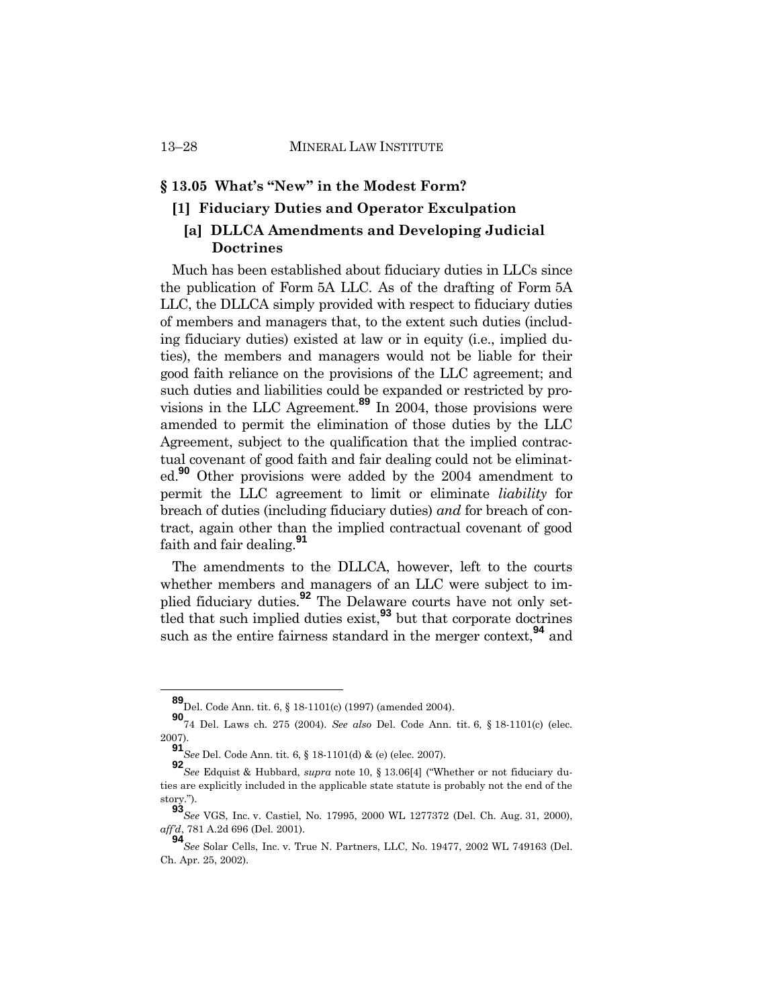#### **§ 13.05 What's "New" in the Modest Form?**

# **[1] Fiduciary Duties and Operator Exculpation**

# **[a] DLLCA Amendments and Developing Judicial Doctrines**

Much has been established about fiduciary duties in LLCs since the publication of Form 5A LLC. As of the drafting of Form 5A LLC, the DLLCA simply provided with respect to fiduciary duties of members and managers that, to the extent such duties (including fiduciary duties) existed at law or in equity (i.e., implied duties), the members and managers would not be liable for their good faith reliance on the provisions of the LLC agreement; and such duties and liabilities could be expanded or restricted by provisions in the LLC Agreement.**<sup>89</sup>** In 2004, those provisions were amended to permit the elimination of those duties by the LLC Agreement, subject to the qualification that the implied contractual covenant of good faith and fair dealing could not be eliminated.**<sup>90</sup>** Other provisions were added by the 2004 amendment to permit the LLC agreement to limit or eliminate *liability* for breach of duties (including fiduciary duties) *and* for breach of contract, again other than the implied contractual covenant of good faith and fair dealing.**<sup>91</sup>**

The amendments to the DLLCA, however, left to the courts whether members and managers of an LLC were subject to implied fiduciary duties.**<sup>92</sup>** The Delaware courts have not only settled that such implied duties exist,**<sup>93</sup>** but that corporate doctrines such as the entire fairness standard in the merger context,**<sup>94</sup>** and

**<sup>89</sup>**Del. Code Ann. tit. 6, § 18-1101(c) (1997) (amended 2004).

**<sup>90</sup>**74 Del. Laws ch. 275 (2004). *See also* Del. Code Ann. tit. 6, § 18-1101(c) (elec. 2007).

**<sup>91</sup>***See* Del. Code Ann. tit. 6, § 18-1101(d) & (e) (elec. 2007).

**<sup>92</sup>***See* Edquist & Hubbard, *supra* note 10, § 13.06[4] ("Whether or not fiduciary duties are explicitly included in the applicable state statute is probably not the end of the story.").

**<sup>93</sup>***See* VGS, Inc. v. Castiel, No. 17995, 2000 WL 1277372 (Del. Ch. Aug. 31, 2000), *aff'd*, 781 A.2d 696 (Del. 2001).

**<sup>94</sup>***See* Solar Cells, Inc. v. True N. Partners, LLC, No. 19477, 2002 WL 749163 (Del. Ch. Apr. 25, 2002).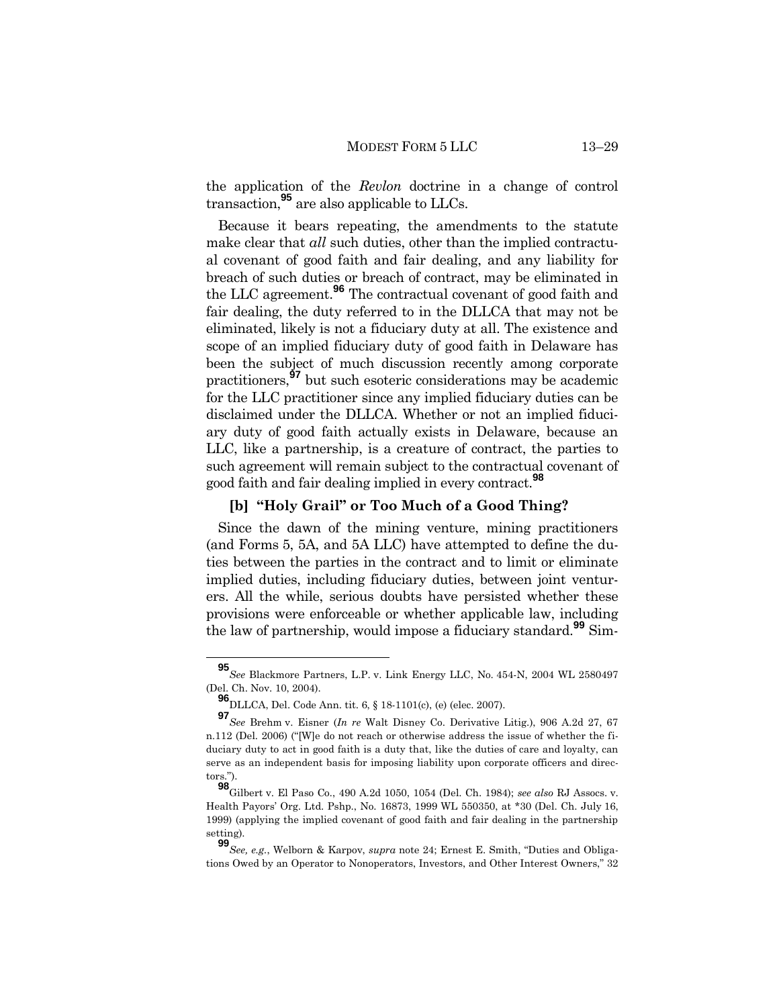the application of the *Revlon* doctrine in a change of control transaction,**<sup>95</sup>** are also applicable to LLCs.

Because it bears repeating, the amendments to the statute make clear that *all* such duties, other than the implied contractual covenant of good faith and fair dealing, and any liability for breach of such duties or breach of contract, may be eliminated in the LLC agreement.**<sup>96</sup>** The contractual covenant of good faith and fair dealing, the duty referred to in the DLLCA that may not be eliminated, likely is not a fiduciary duty at all. The existence and scope of an implied fiduciary duty of good faith in Delaware has been the subject of much discussion recently among corporate practitioners,**<sup>97</sup>** but such esoteric considerations may be academic for the LLC practitioner since any implied fiduciary duties can be disclaimed under the DLLCA. Whether or not an implied fiduciary duty of good faith actually exists in Delaware, because an LLC, like a partnership, is a creature of contract, the parties to such agreement will remain subject to the contractual covenant of good faith and fair dealing implied in every contract.**<sup>98</sup>**

# **[b] "Holy Grail" or Too Much of a Good Thing?**

Since the dawn of the mining venture, mining practitioners (and Forms 5, 5A, and 5A LLC) have attempted to define the duties between the parties in the contract and to limit or eliminate implied duties, including fiduciary duties, between joint venturers. All the while, serious doubts have persisted whether these provisions were enforceable or whether applicable law, including the law of partnership, would impose a fiduciary standard.**<sup>99</sup>** Sim-

**<sup>95</sup>***See* Blackmore Partners, L.P. v. Link Energy LLC, No. 454-N, 2004 WL 2580497 (Del. Ch. Nov. 10, 2004).

**<sup>96</sup>** DLLCA, Del. Code Ann. tit. 6, § 18-1101(c), (e) (elec. 2007).

**<sup>97</sup>***See* Brehm v. Eisner (*In re* Walt Disney Co. Derivative Litig.), 906 A.2d 27, 67 n.112 (Del. 2006) ("[W]e do not reach or otherwise address the issue of whether the fiduciary duty to act in good faith is a duty that, like the duties of care and loyalty, can serve as an independent basis for imposing liability upon corporate officers and directors.").

**<sup>98</sup>**Gilbert v. El Paso Co*.*, 490 A.2d 1050, 1054 (Del. Ch. 1984); *see also* RJ Assocs. v. Health Payors' Org. Ltd. Pshp., No. 16873, 1999 WL 550350, at \*30 (Del. Ch. July 16, 1999) (applying the implied covenant of good faith and fair dealing in the partnership setting).

**<sup>99</sup>***See, e.g.*, Welborn & Karpov, *supra* note 24; Ernest E. Smith, "Duties and Obligations Owed by an Operator to Nonoperators, Investors, and Other Interest Owners," 32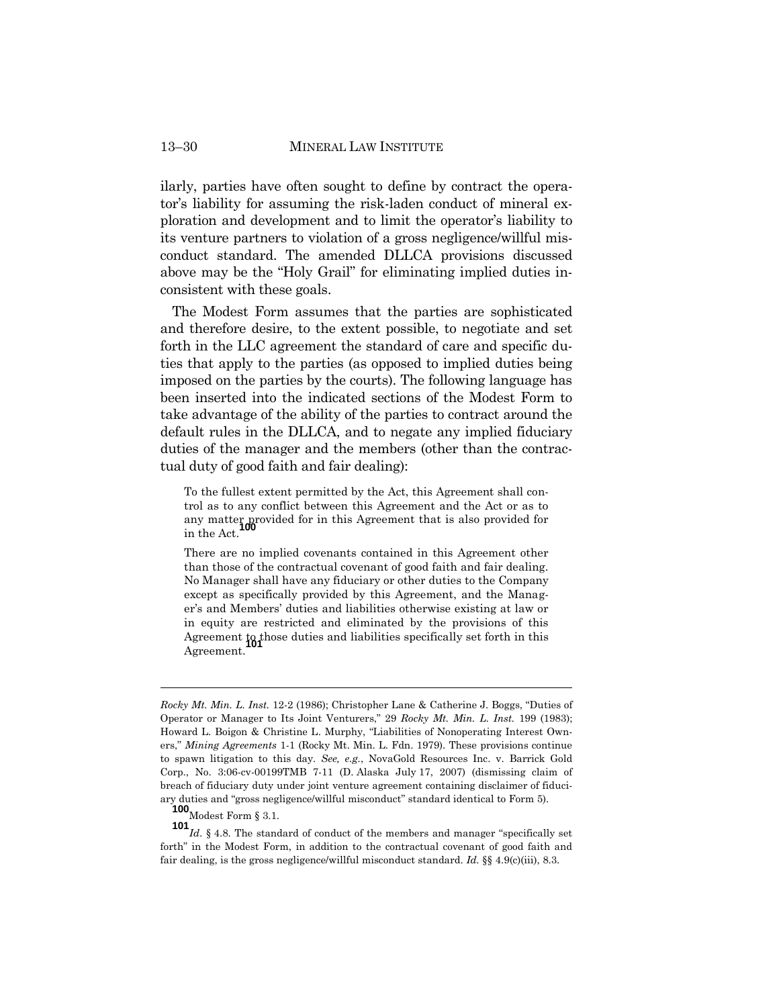ilarly, parties have often sought to define by contract the operator's liability for assuming the risk-laden conduct of mineral exploration and development and to limit the operator's liability to its venture partners to violation of a gross negligence/willful misconduct standard. The amended DLLCA provisions discussed above may be the "Holy Grail" for eliminating implied duties inconsistent with these goals.

The Modest Form assumes that the parties are sophisticated and therefore desire, to the extent possible, to negotiate and set forth in the LLC agreement the standard of care and specific duties that apply to the parties (as opposed to implied duties being imposed on the parties by the courts). The following language has been inserted into the indicated sections of the Modest Form to take advantage of the ability of the parties to contract around the default rules in the DLLCA, and to negate any implied fiduciary duties of the manager and the members (other than the contractual duty of good faith and fair dealing):

To the fullest extent permitted by the Act, this Agreement shall control as to any conflict between this Agreement and the Act or as to any matter provided for in this Agreement that is also provided for in the Act.

There are no implied covenants contained in this Agreement other than those of the contractual covenant of good faith and fair dealing. No Manager shall have any fiduciary or other duties to the Company except as specifically provided by this Agreement, and the Manager's and Members' duties and liabilities otherwise existing at law or in equity are restricted and eliminated by the provisions of this Agreement to those duties and liabilities specifically set forth in this Agreement.

**100** Modest Form § 3.1.

*Rocky Mt. Min. L. Inst.* 12-2 (1986); Christopher Lane & Catherine J. Boggs, "Duties of Operator or Manager to Its Joint Venturers," 29 *Rocky Mt. Min. L. Inst.* 199 (1983); Howard L. Boigon & Christine L. Murphy, "Liabilities of Nonoperating Interest Owners," *Mining Agreements* 1-1 (Rocky Mt. Min. L. Fdn. 1979). These provisions continue to spawn litigation to this day. *See, e.g.*, NovaGold Resources Inc. v. Barrick Gold Corp., No. 3:06-cv-00199TMB 7-11 (D. Alaska July 17, 2007) (dismissing claim of breach of fiduciary duty under joint venture agreement containing disclaimer of fiduciary duties and "gross negligence/willful misconduct" standard identical to Form 5).

**<sup>101</sup>***Id.* § 4.8. The standard of conduct of the members and manager "specifically set forth" in the Modest Form, in addition to the contractual covenant of good faith and fair dealing, is the gross negligence/willful misconduct standard. *Id.* §§ 4.9(c)(iii), 8.3.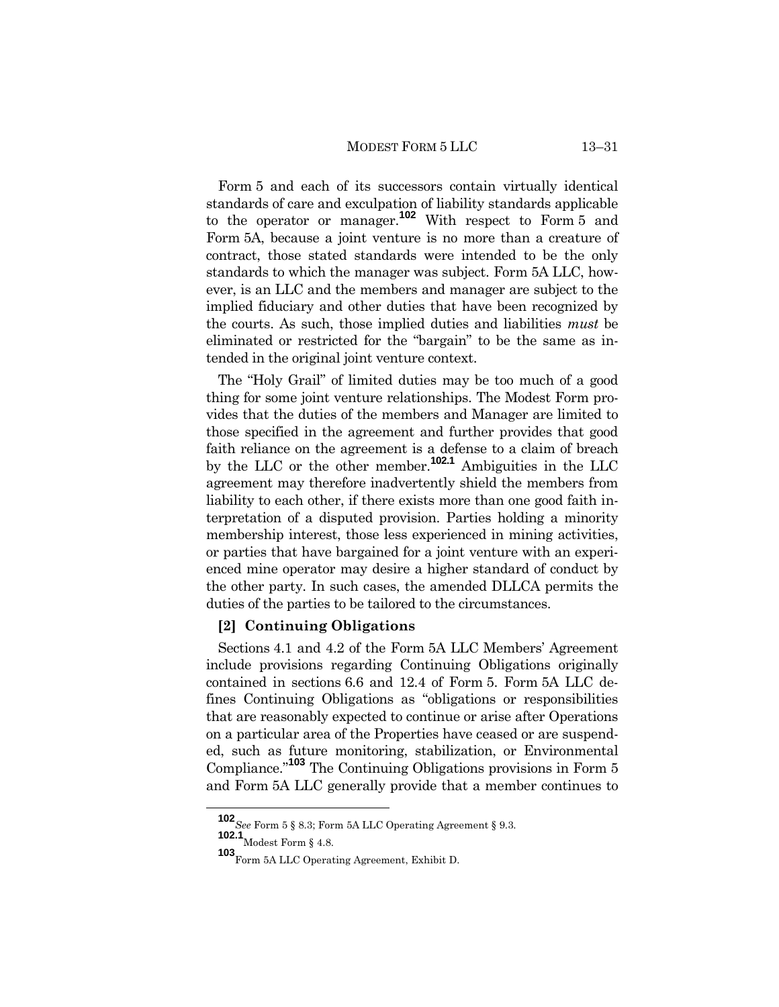Form 5 and each of its successors contain virtually identical standards of care and exculpation of liability standards applicable to the operator or manager.**<sup>102</sup>** With respect to Form 5 and Form 5A, because a joint venture is no more than a creature of contract, those stated standards were intended to be the only standards to which the manager was subject. Form 5A LLC, however, is an LLC and the members and manager are subject to the implied fiduciary and other duties that have been recognized by the courts. As such, those implied duties and liabilities *must* be eliminated or restricted for the "bargain" to be the same as intended in the original joint venture context.

The "Holy Grail" of limited duties may be too much of a good thing for some joint venture relationships. The Modest Form provides that the duties of the members and Manager are limited to those specified in the agreement and further provides that good faith reliance on the agreement is a defense to a claim of breach by the LLC or the other member.**102.1** Ambiguities in the LLC agreement may therefore inadvertently shield the members from liability to each other, if there exists more than one good faith interpretation of a disputed provision. Parties holding a minority membership interest, those less experienced in mining activities, or parties that have bargained for a joint venture with an experienced mine operator may desire a higher standard of conduct by the other party. In such cases, the amended DLLCA permits the duties of the parties to be tailored to the circumstances.

#### **[2] Continuing Obligations**

Sections 4.1 and 4.2 of the Form 5A LLC Members' Agreement include provisions regarding Continuing Obligations originally contained in sections 6.6 and 12.4 of Form 5. Form 5A LLC defines Continuing Obligations as "obligations or responsibilities that are reasonably expected to continue or arise after Operations on a particular area of the Properties have ceased or are suspended, such as future monitoring, stabilization, or Environmental Compliance."**<sup>103</sup>** The Continuing Obligations provisions in Form 5 and Form 5A LLC generally provide that a member continues to

**<sup>102</sup>***See* Form 5 § 8.3; Form 5A LLC Operating Agreement § 9.3.

**<sup>102.1</sup>** Modest Form § 4.8.

**<sup>103</sup>**Form 5A LLC Operating Agreement, Exhibit D.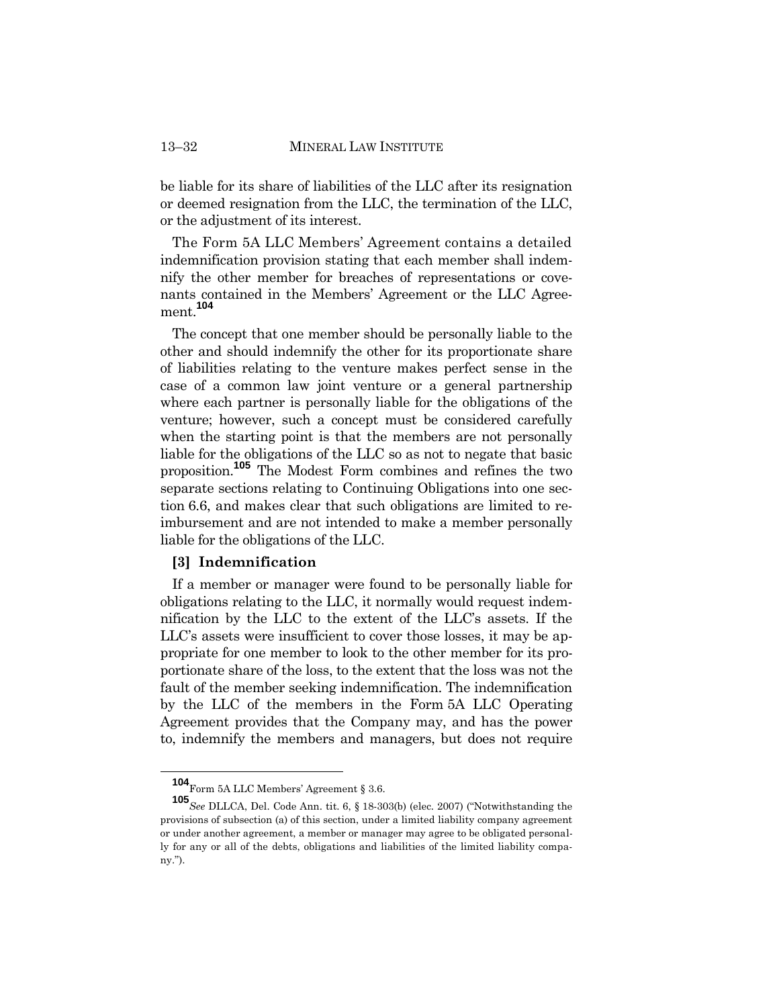be liable for its share of liabilities of the LLC after its resignation or deemed resignation from the LLC, the termination of the LLC, or the adjustment of its interest.

The Form 5A LLC Members' Agreement contains a detailed indemnification provision stating that each member shall indemnify the other member for breaches of representations or covenants contained in the Members' Agreement or the LLC Agreement.**<sup>104</sup>**

The concept that one member should be personally liable to the other and should indemnify the other for its proportionate share of liabilities relating to the venture makes perfect sense in the case of a common law joint venture or a general partnership where each partner is personally liable for the obligations of the venture; however, such a concept must be considered carefully when the starting point is that the members are not personally liable for the obligations of the LLC so as not to negate that basic proposition.**<sup>105</sup>** The Modest Form combines and refines the two separate sections relating to Continuing Obligations into one section 6.6, and makes clear that such obligations are limited to reimbursement and are not intended to make a member personally liable for the obligations of the LLC.

#### **[3] Indemnification**

If a member or manager were found to be personally liable for obligations relating to the LLC, it normally would request indemnification by the LLC to the extent of the LLC's assets. If the LLC's assets were insufficient to cover those losses, it may be appropriate for one member to look to the other member for its proportionate share of the loss, to the extent that the loss was not the fault of the member seeking indemnification. The indemnification by the LLC of the members in the Form 5A LLC Operating Agreement provides that the Company may, and has the power to, indemnify the members and managers, but does not require

**<sup>104</sup>**Form 5A LLC Members' Agreement § 3.6.

**<sup>105</sup>***See* DLLCA, Del. Code Ann. tit. 6, § 18-303(b) (elec. 2007) ("Notwithstanding the provisions of subsection (a) of this section, under a limited liability company agreement or under another agreement, a member or manager may agree to be obligated personally for any or all of the debts, obligations and liabilities of the limited liability company.").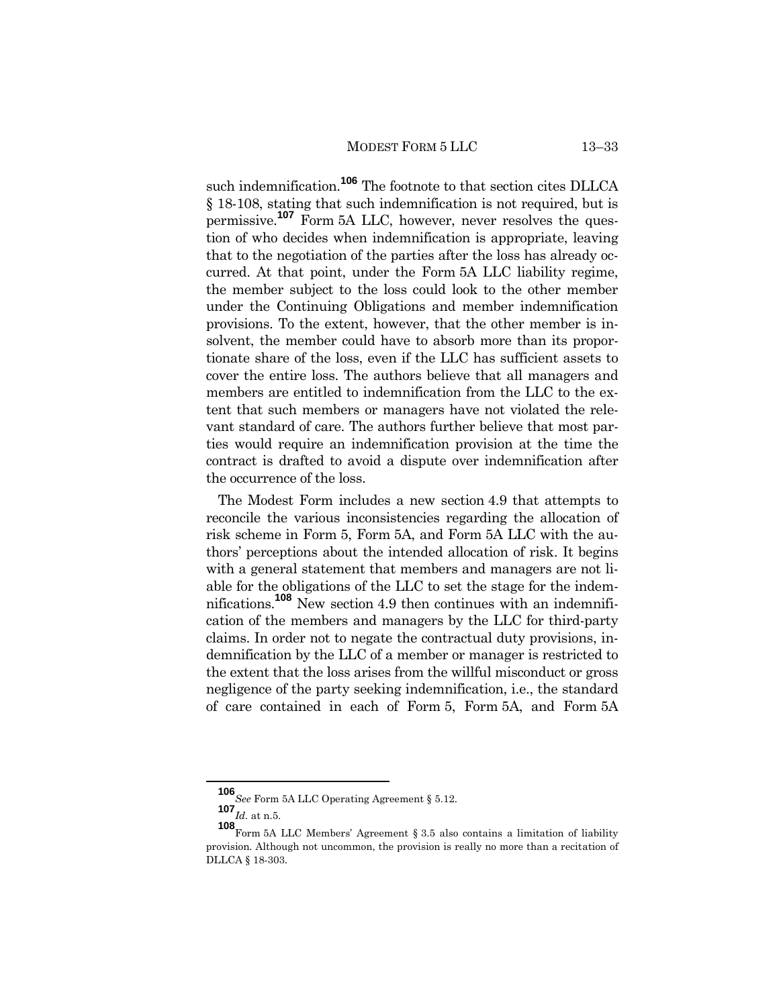such indemnification.**<sup>106</sup>** The footnote to that section cites DLLCA § 18-108, stating that such indemnification is not required, but is permissive.<sup>107</sup> Form 5A LLC, however, never resolves the question of who decides when indemnification is appropriate, leaving that to the negotiation of the parties after the loss has already occurred. At that point, under the Form 5A LLC liability regime, the member subject to the loss could look to the other member under the Continuing Obligations and member indemnification provisions. To the extent, however, that the other member is insolvent, the member could have to absorb more than its proportionate share of the loss, even if the LLC has sufficient assets to cover the entire loss. The authors believe that all managers and members are entitled to indemnification from the LLC to the extent that such members or managers have not violated the relevant standard of care. The authors further believe that most parties would require an indemnification provision at the time the contract is drafted to avoid a dispute over indemnification after the occurrence of the loss.

The Modest Form includes a new section 4.9 that attempts to reconcile the various inconsistencies regarding the allocation of risk scheme in Form 5, Form 5A, and Form 5A LLC with the authors' perceptions about the intended allocation of risk. It begins with a general statement that members and managers are not liable for the obligations of the LLC to set the stage for the indemnifications.**<sup>108</sup>** New section 4.9 then continues with an indemnification of the members and managers by the LLC for third-party claims. In order not to negate the contractual duty provisions, indemnification by the LLC of a member or manager is restricted to the extent that the loss arises from the willful misconduct or gross negligence of the party seeking indemnification, i.e., the standard of care contained in each of Form 5, Form 5A, and Form 5A

**<sup>106</sup>***See* Form 5A LLC Operating Agreement § 5.12.

**<sup>107</sup>***Id.* at n.5.

**<sup>108</sup>**Form 5A LLC Members' Agreement § 3.5 also contains a limitation of liability provision. Although not uncommon, the provision is really no more than a recitation of DLLCA § 18-303.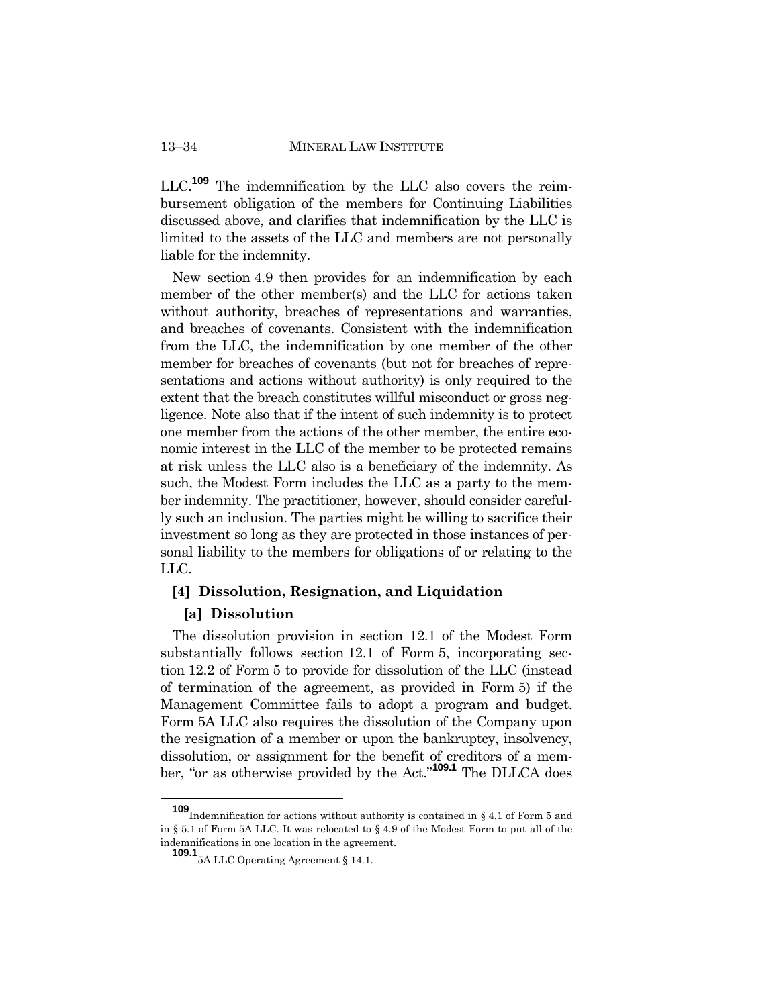LLC.**<sup>109</sup>** The indemnification by the LLC also covers the reimbursement obligation of the members for Continuing Liabilities discussed above, and clarifies that indemnification by the LLC is limited to the assets of the LLC and members are not personally liable for the indemnity.

New section 4.9 then provides for an indemnification by each member of the other member(s) and the LLC for actions taken without authority, breaches of representations and warranties, and breaches of covenants. Consistent with the indemnification from the LLC, the indemnification by one member of the other member for breaches of covenants (but not for breaches of representations and actions without authority) is only required to the extent that the breach constitutes willful misconduct or gross negligence. Note also that if the intent of such indemnity is to protect one member from the actions of the other member, the entire economic interest in the LLC of the member to be protected remains at risk unless the LLC also is a beneficiary of the indemnity. As such, the Modest Form includes the LLC as a party to the member indemnity. The practitioner, however, should consider carefully such an inclusion. The parties might be willing to sacrifice their investment so long as they are protected in those instances of personal liability to the members for obligations of or relating to the LLC.

# **[4] Dissolution, Resignation, and Liquidation**

#### **[a] Dissolution**

The dissolution provision in section 12.1 of the Modest Form substantially follows section 12.1 of Form 5, incorporating section 12.2 of Form 5 to provide for dissolution of the LLC (instead of termination of the agreement, as provided in Form 5) if the Management Committee fails to adopt a program and budget. Form 5A LLC also requires the dissolution of the Company upon the resignation of a member or upon the bankruptcy, insolvency, dissolution, or assignment for the benefit of creditors of a member, "or as otherwise provided by the Act."**109.1** The DLLCA does

**<sup>109</sup>**Indemnification for actions without authority is contained in § 4.1 of Form 5 and in § 5.1 of Form 5A LLC. It was relocated to § 4.9 of the Modest Form to put all of the indemnifications in one location in the agreement.

**<sup>109.1</sup>**5A LLC Operating Agreement § 14.1.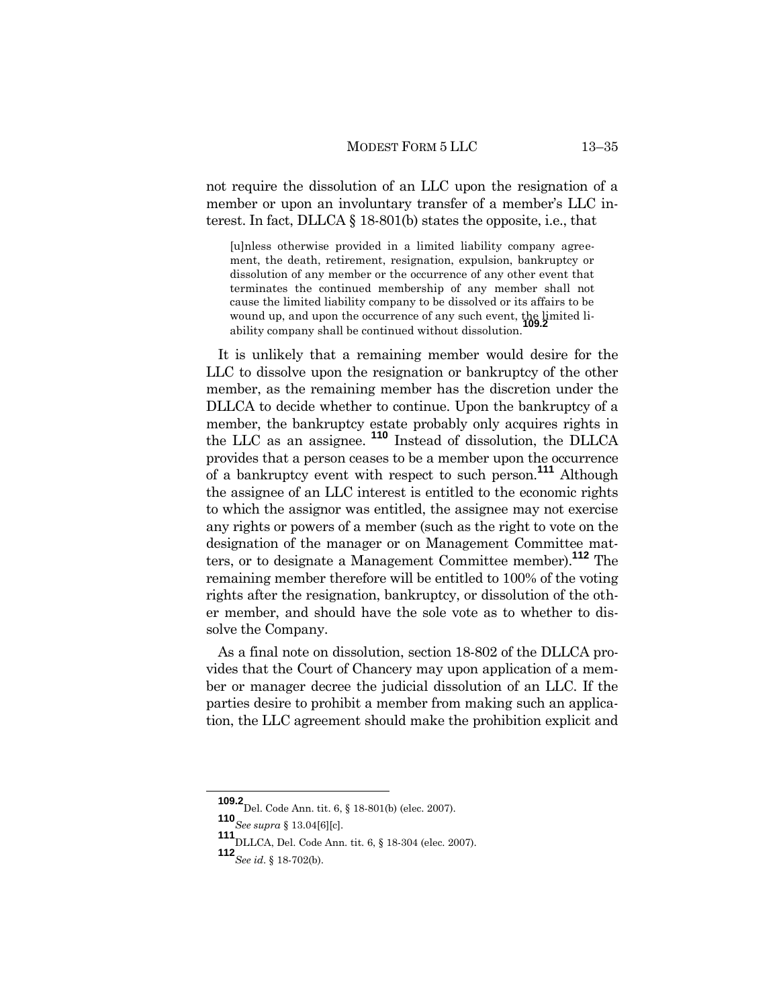not require the dissolution of an LLC upon the resignation of a member or upon an involuntary transfer of a member's LLC interest. In fact, DLLCA § 18-801(b) states the opposite, i.e., that

[u]nless otherwise provided in a limited liability company agreement, the death, retirement, resignation, expulsion, bankruptcy or dissolution of any member or the occurrence of any other event that terminates the continued membership of any member shall not cause the limited liability company to be dissolved or its affairs to be wound up, and upon the occurrence of any such event, the limited liability company shall be continued without dissolution.

It is unlikely that a remaining member would desire for the LLC to dissolve upon the resignation or bankruptcy of the other member, as the remaining member has the discretion under the DLLCA to decide whether to continue. Upon the bankruptcy of a member, the bankruptcy estate probably only acquires rights in the LLC as an assignee. **<sup>110</sup>** Instead of dissolution, the DLLCA provides that a person ceases to be a member upon the occurrence of a bankruptcy event with respect to such person.**<sup>111</sup>** Although the assignee of an LLC interest is entitled to the economic rights to which the assignor was entitled, the assignee may not exercise any rights or powers of a member (such as the right to vote on the designation of the manager or on Management Committee matters, or to designate a Management Committee member).**<sup>112</sup>** The remaining member therefore will be entitled to 100% of the voting rights after the resignation, bankruptcy, or dissolution of the other member, and should have the sole vote as to whether to dissolve the Company.

As a final note on dissolution, section 18-802 of the DLLCA provides that the Court of Chancery may upon application of a member or manager decree the judicial dissolution of an LLC. If the parties desire to prohibit a member from making such an application, the LLC agreement should make the prohibition explicit and

**<sup>109.2</sup>**Del. Code Ann. tit. 6, § 18-801(b) (elec. 2007).

**<sup>110</sup>***See supra* § 13.04[6][c].

**<sup>111</sup>**DLLCA, Del. Code Ann. tit. 6, § 18-304 (elec. 2007).

**<sup>112</sup>***See id*. § 18-702(b).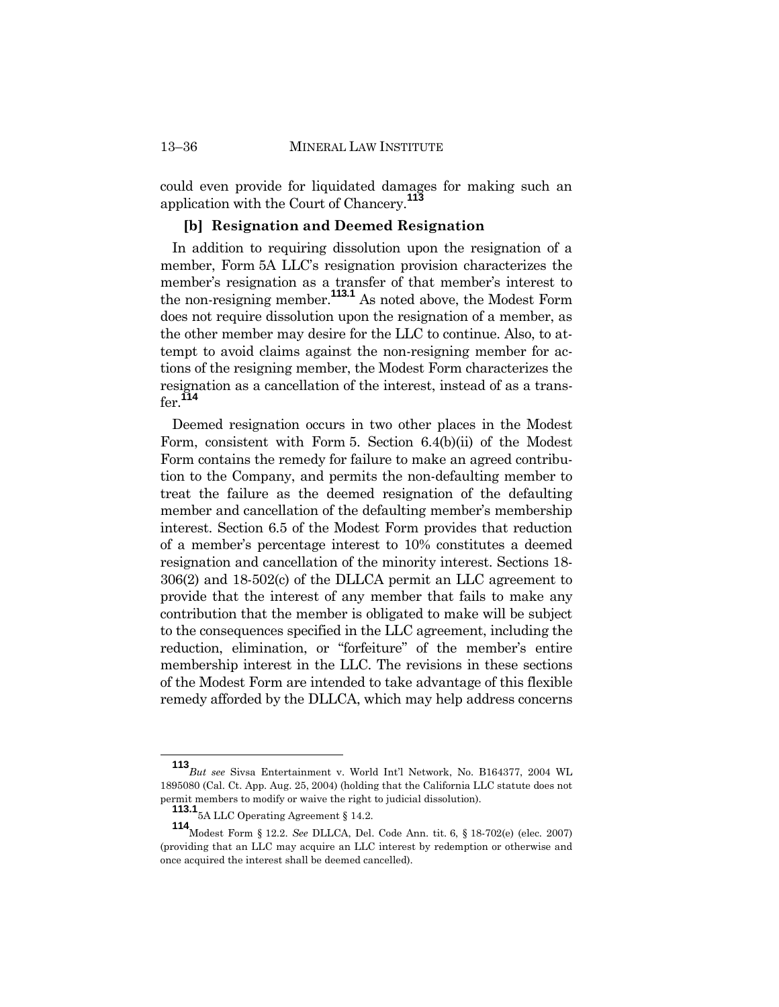could even provide for liquidated damages for making such an application with the Court of Chancery.**<sup>113</sup>**

#### **[b] Resignation and Deemed Resignation**

In addition to requiring dissolution upon the resignation of a member, Form 5A LLC's resignation provision characterizes the member's resignation as a transfer of that member's interest to the non-resigning member.**113.1** As noted above, the Modest Form does not require dissolution upon the resignation of a member, as the other member may desire for the LLC to continue. Also, to attempt to avoid claims against the non-resigning member for actions of the resigning member, the Modest Form characterizes the resignation as a cancellation of the interest, instead of as a transfer.**<sup>114</sup>**

Deemed resignation occurs in two other places in the Modest Form, consistent with Form 5. Section 6.4(b)(ii) of the Modest Form contains the remedy for failure to make an agreed contribution to the Company, and permits the non-defaulting member to treat the failure as the deemed resignation of the defaulting member and cancellation of the defaulting member's membership interest. Section 6.5 of the Modest Form provides that reduction of a member's percentage interest to 10% constitutes a deemed resignation and cancellation of the minority interest. Sections 18- 306(2) and 18-502(c) of the DLLCA permit an LLC agreement to provide that the interest of any member that fails to make any contribution that the member is obligated to make will be subject to the consequences specified in the LLC agreement, including the reduction, elimination, or "forfeiture" of the member's entire membership interest in the LLC. The revisions in these sections of the Modest Form are intended to take advantage of this flexible remedy afforded by the DLLCA, which may help address concerns

**<sup>113</sup>***But see* Sivsa Entertainment v. World Int'l Network, No. B164377, 2004 WL 1895080 (Cal. Ct. App. Aug. 25, 2004) (holding that the California LLC statute does not permit members to modify or waive the right to judicial dissolution).

**<sup>113.1</sup>**5A LLC Operating Agreement § 14.2.

**<sup>114</sup>**Modest Form § 12.2. *See* DLLCA, Del. Code Ann. tit. 6, § 18-702(e) (elec. 2007) (providing that an LLC may acquire an LLC interest by redemption or otherwise and once acquired the interest shall be deemed cancelled).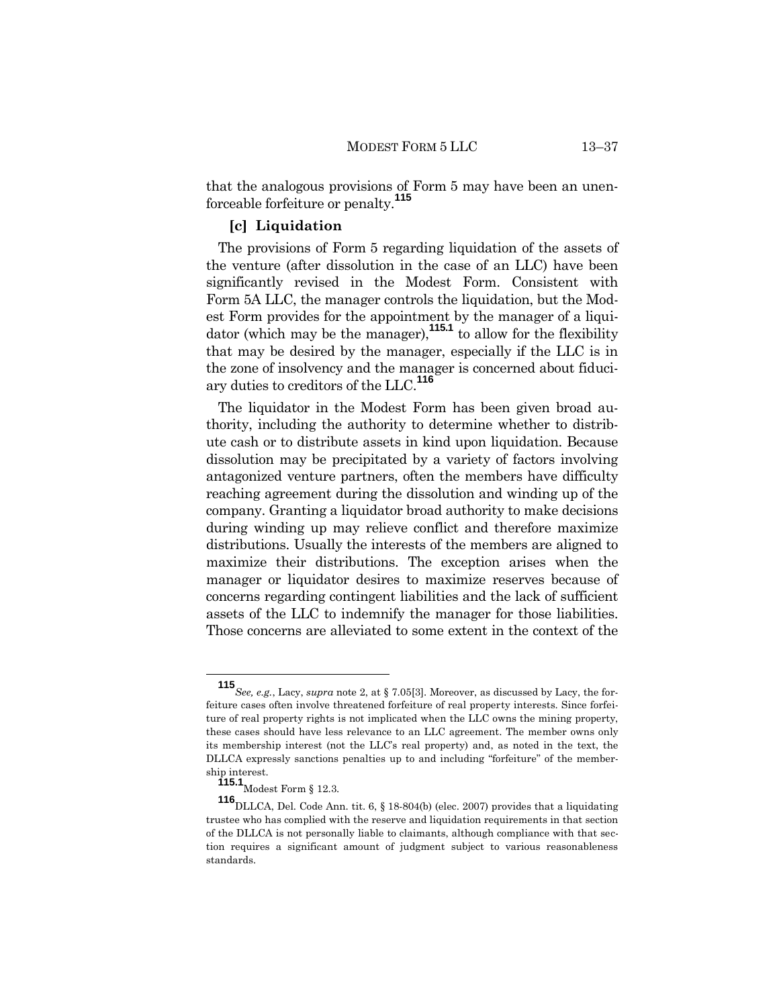that the analogous provisions of Form 5 may have been an unenforceable forfeiture or penalty.**<sup>115</sup>**

#### **[c] Liquidation**

The provisions of Form 5 regarding liquidation of the assets of the venture (after dissolution in the case of an LLC) have been significantly revised in the Modest Form. Consistent with Form 5A LLC, the manager controls the liquidation, but the Modest Form provides for the appointment by the manager of a liquidator (which may be the manager),**115.1** to allow for the flexibility that may be desired by the manager, especially if the LLC is in the zone of insolvency and the manager is concerned about fiduciary duties to creditors of the LLC.**<sup>116</sup>**

The liquidator in the Modest Form has been given broad authority, including the authority to determine whether to distribute cash or to distribute assets in kind upon liquidation. Because dissolution may be precipitated by a variety of factors involving antagonized venture partners, often the members have difficulty reaching agreement during the dissolution and winding up of the company. Granting a liquidator broad authority to make decisions during winding up may relieve conflict and therefore maximize distributions. Usually the interests of the members are aligned to maximize their distributions. The exception arises when the manager or liquidator desires to maximize reserves because of concerns regarding contingent liabilities and the lack of sufficient assets of the LLC to indemnify the manager for those liabilities. Those concerns are alleviated to some extent in the context of the

**<sup>115</sup>***See, e.g.*, Lacy, *supra* note 2, at § 7.05[3]. Moreover, as discussed by Lacy, the forfeiture cases often involve threatened forfeiture of real property interests. Since forfeiture of real property rights is not implicated when the LLC owns the mining property, these cases should have less relevance to an LLC agreement. The member owns only its membership interest (not the LLC's real property) and, as noted in the text, the DLLCA expressly sanctions penalties up to and including "forfeiture" of the membership interest.

**<sup>115.1</sup>**<br>Modest Form § 12.3.

**<sup>116</sup>**DLLCA, Del. Code Ann. tit. 6, § 18-804(b) (elec. 2007) provides that a liquidating trustee who has complied with the reserve and liquidation requirements in that section of the DLLCA is not personally liable to claimants, although compliance with that section requires a significant amount of judgment subject to various reasonableness standards.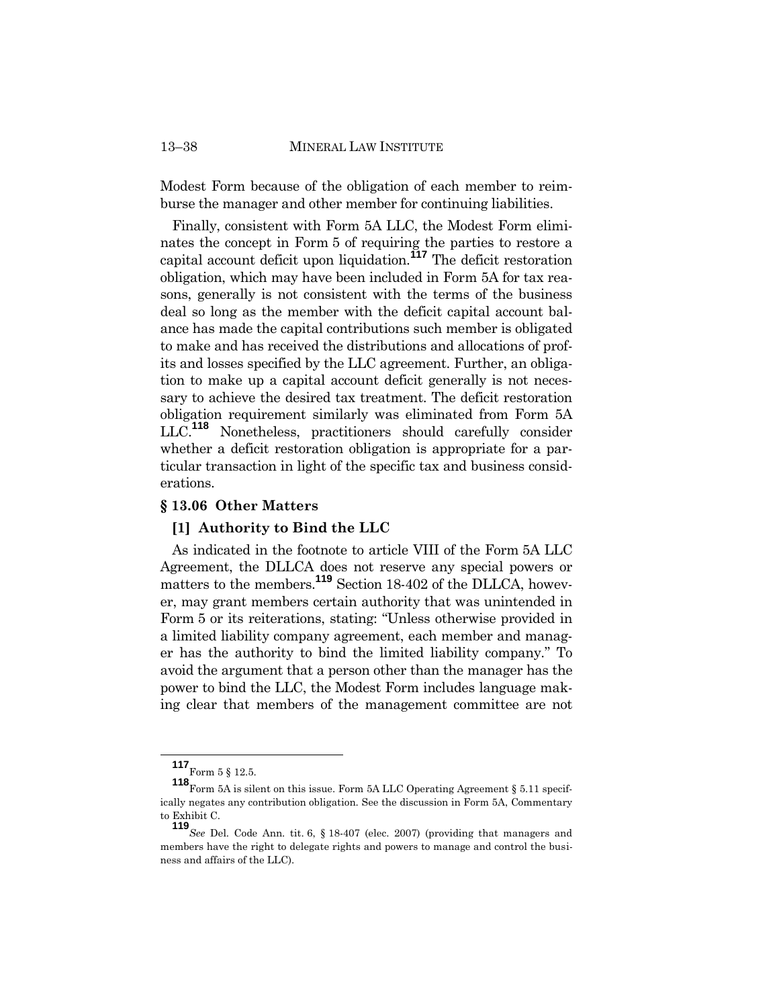#### 13–38 MINERAL LAW INSTITUTE

Modest Form because of the obligation of each member to reimburse the manager and other member for continuing liabilities.

Finally, consistent with Form 5A LLC, the Modest Form eliminates the concept in Form 5 of requiring the parties to restore a capital account deficit upon liquidation.**<sup>117</sup>** The deficit restoration obligation, which may have been included in Form 5A for tax reasons, generally is not consistent with the terms of the business deal so long as the member with the deficit capital account balance has made the capital contributions such member is obligated to make and has received the distributions and allocations of profits and losses specified by the LLC agreement. Further, an obligation to make up a capital account deficit generally is not necessary to achieve the desired tax treatment. The deficit restoration obligation requirement similarly was eliminated from Form 5A LLC.**<sup>118</sup>** Nonetheless, practitioners should carefully consider whether a deficit restoration obligation is appropriate for a particular transaction in light of the specific tax and business considerations.

#### **§ 13.06 Other Matters**

#### **[1] Authority to Bind the LLC**

As indicated in the footnote to article VIII of the Form 5A LLC Agreement, the DLLCA does not reserve any special powers or matters to the members.<sup>119</sup> Section 18-402 of the DLLCA, however, may grant members certain authority that was unintended in Form 5 or its reiterations, stating: "Unless otherwise provided in a limited liability company agreement, each member and manager has the authority to bind the limited liability company." To avoid the argument that a person other than the manager has the power to bind the LLC, the Modest Form includes language making clear that members of the management committee are not

 ${\bf 117}_\mathrm{Form}$ 5 § 12.5.

**<sup>118</sup>** Form 5A is silent on this issue. Form 5A LLC Operating Agreement § 5.11 specifically negates any contribution obligation. See the discussion in Form 5A, Commentary to Exhibit C.

**<sup>119</sup>***See* Del. Code Ann. tit. 6, § 18-407 (elec. 2007) (providing that managers and members have the right to delegate rights and powers to manage and control the business and affairs of the LLC).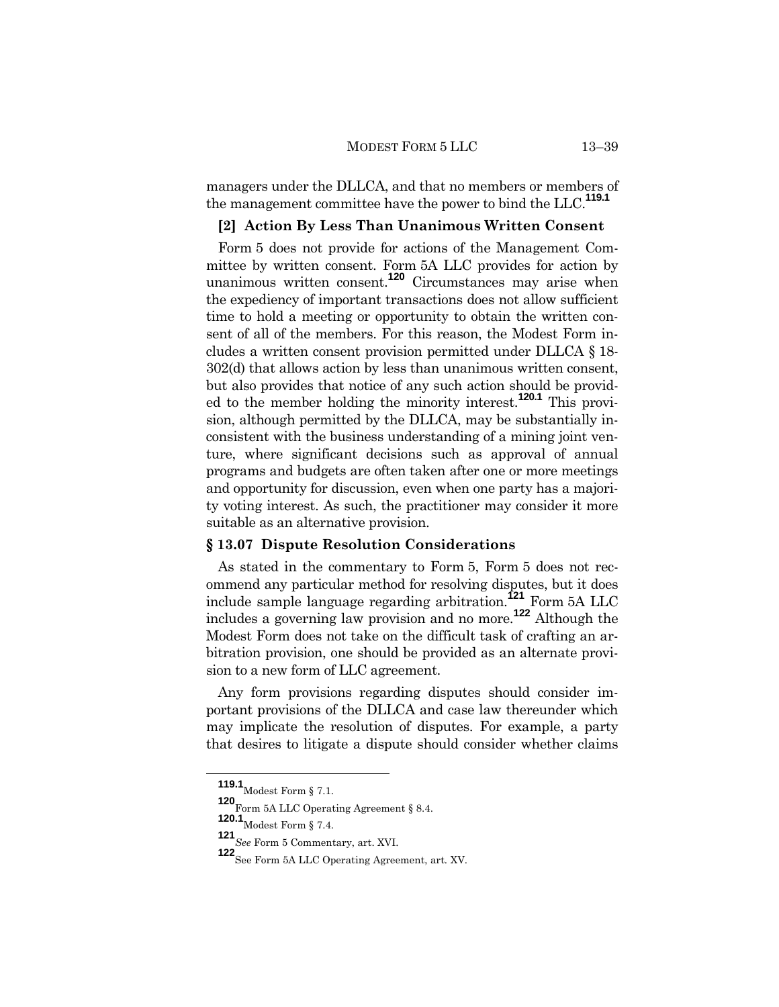managers under the DLLCA, and that no members or members of the management committee have the power to bind the LLC. **119.1**

#### **[2] Action By Less Than Unanimous Written Consent**

Form 5 does not provide for actions of the Management Committee by written consent. Form 5A LLC provides for action by unanimous written consent.**<sup>120</sup>** Circumstances may arise when the expediency of important transactions does not allow sufficient time to hold a meeting or opportunity to obtain the written consent of all of the members. For this reason, the Modest Form includes a written consent provision permitted under DLLCA § 18- 302(d) that allows action by less than unanimous written consent, but also provides that notice of any such action should be provided to the member holding the minority interest.**120.1** This provision, although permitted by the DLLCA, may be substantially inconsistent with the business understanding of a mining joint venture, where significant decisions such as approval of annual programs and budgets are often taken after one or more meetings and opportunity for discussion, even when one party has a majority voting interest. As such, the practitioner may consider it more suitable as an alternative provision.

#### **§ 13.07 Dispute Resolution Considerations**

As stated in the commentary to Form 5, Form 5 does not recommend any particular method for resolving disputes, but it does include sample language regarding arbitration.**<sup>121</sup>** Form 5A LLC includes a governing law provision and no more.**<sup>122</sup>** Although the Modest Form does not take on the difficult task of crafting an arbitration provision, one should be provided as an alternate provision to a new form of LLC agreement.

Any form provisions regarding disputes should consider important provisions of the DLLCA and case law thereunder which may implicate the resolution of disputes. For example, a party that desires to litigate a dispute should consider whether claims

**<sup>119.1</sup>** Modest Form § 7.1.

**<sup>120</sup>**Form 5A LLC Operating Agreement § 8.4.

**<sup>120.1</sup>** Modest Form § 7.4.

**<sup>121</sup>***See* Form 5 Commentary, art. XVI.

**<sup>122</sup>** See Form 5A LLC Operating Agreement, art. XV.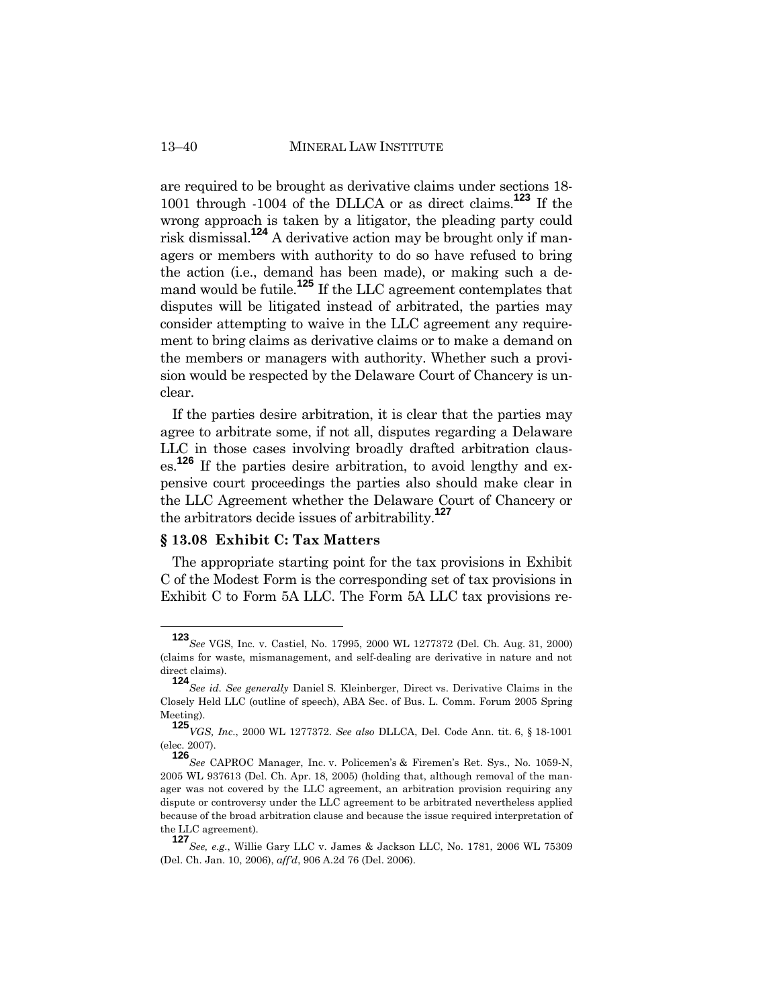are required to be brought as derivative claims under sections 18- 1001 through -1004 of the DLLCA or as direct claims.**<sup>123</sup>** If the wrong approach is taken by a litigator, the pleading party could risk dismissal.**<sup>124</sup>** A derivative action may be brought only if managers or members with authority to do so have refused to bring the action (i.e., demand has been made), or making such a demand would be futile.**<sup>125</sup>** If the LLC agreement contemplates that disputes will be litigated instead of arbitrated, the parties may consider attempting to waive in the LLC agreement any requirement to bring claims as derivative claims or to make a demand on the members or managers with authority. Whether such a provision would be respected by the Delaware Court of Chancery is unclear.

If the parties desire arbitration, it is clear that the parties may agree to arbitrate some, if not all, disputes regarding a Delaware LLC in those cases involving broadly drafted arbitration clauses. **<sup>126</sup>** If the parties desire arbitration, to avoid lengthy and expensive court proceedings the parties also should make clear in the LLC Agreement whether the Delaware Court of Chancery or the arbitrators decide issues of arbitrability.**<sup>127</sup>**

# **§ 13.08 Exhibit C: Tax Matters**

The appropriate starting point for the tax provisions in Exhibit C of the Modest Form is the corresponding set of tax provisions in Exhibit C to Form 5A LLC. The Form 5A LLC tax provisions re-

**<sup>123</sup>***See* VGS, Inc. v. Castiel, No. 17995, 2000 WL 1277372 (Del. Ch. Aug. 31, 2000) (claims for waste, mismanagement, and self-dealing are derivative in nature and not direct claims).

**<sup>124</sup>***See id*. *See generally* Daniel S. Kleinberger, Direct vs. Derivative Claims in the Closely Held LLC (outline of speech), ABA Sec. of Bus. L. Comm. Forum 2005 Spring Meeting).

**<sup>125</sup>***VGS, Inc*., 2000 WL 1277372. *See also* DLLCA, Del. Code Ann. tit. 6, § 18-1001 (elec. 2007).

**<sup>126</sup>***See* CAPROC Manager, Inc. v. Policemen's & Firemen's Ret. Sys., No. 1059-N, 2005 WL 937613 (Del. Ch. Apr. 18, 2005) (holding that, although removal of the manager was not covered by the LLC agreement, an arbitration provision requiring any dispute or controversy under the LLC agreement to be arbitrated nevertheless applied because of the broad arbitration clause and because the issue required interpretation of the LLC agreement).

**<sup>127</sup>***See, e.g.*, Willie Gary LLC v. James & Jackson LLC, No. 1781, 2006 WL 75309 (Del. Ch. Jan. 10, 2006), *aff'd*, 906 A.2d 76 (Del. 2006).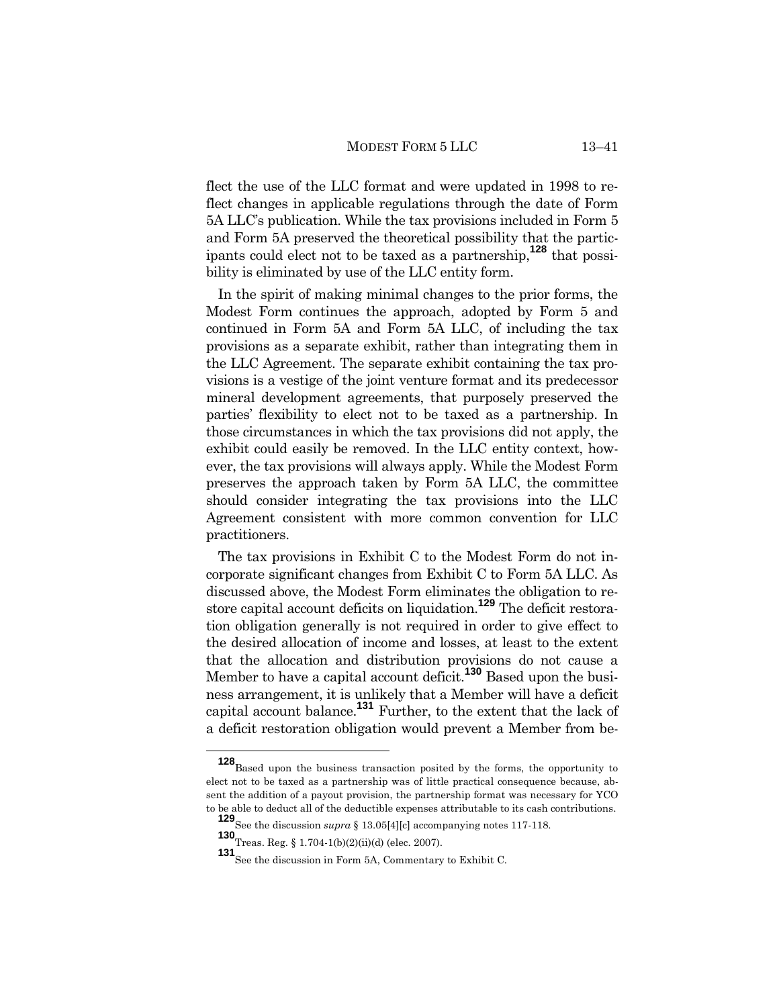flect the use of the LLC format and were updated in 1998 to reflect changes in applicable regulations through the date of Form 5A LLC's publication. While the tax provisions included in Form 5 and Form 5A preserved the theoretical possibility that the participants could elect not to be taxed as a partnership,**<sup>128</sup>** that possibility is eliminated by use of the LLC entity form.

In the spirit of making minimal changes to the prior forms, the Modest Form continues the approach, adopted by Form 5 and continued in Form 5A and Form 5A LLC, of including the tax provisions as a separate exhibit, rather than integrating them in the LLC Agreement. The separate exhibit containing the tax provisions is a vestige of the joint venture format and its predecessor mineral development agreements, that purposely preserved the parties' flexibility to elect not to be taxed as a partnership. In those circumstances in which the tax provisions did not apply, the exhibit could easily be removed. In the LLC entity context, however, the tax provisions will always apply. While the Modest Form preserves the approach taken by Form 5A LLC, the committee should consider integrating the tax provisions into the LLC Agreement consistent with more common convention for LLC practitioners.

The tax provisions in Exhibit C to the Modest Form do not incorporate significant changes from Exhibit C to Form 5A LLC. As discussed above, the Modest Form eliminates the obligation to restore capital account deficits on liquidation.**<sup>129</sup>** The deficit restoration obligation generally is not required in order to give effect to the desired allocation of income and losses, at least to the extent that the allocation and distribution provisions do not cause a Member to have a capital account deficit.**<sup>130</sup>** Based upon the business arrangement, it is unlikely that a Member will have a deficit capital account balance.**<sup>131</sup>** Further, to the extent that the lack of a deficit restoration obligation would prevent a Member from be-

**<sup>128</sup>**Based upon the business transaction posited by the forms, the opportunity to elect not to be taxed as a partnership was of little practical consequence because, absent the addition of a payout provision, the partnership format was necessary for YCO to be able to deduct all of the deductible expenses attributable to its cash contributions.

**<sup>129</sup>**See the discussion *supra* § 13.05[4][c] accompanying notes 117-118.

**<sup>130</sup>**Treas. Reg. § 1.704-1(b)(2)(ii)(d) (elec. 2007).

**<sup>131</sup>** See the discussion in Form 5A, Commentary to Exhibit C.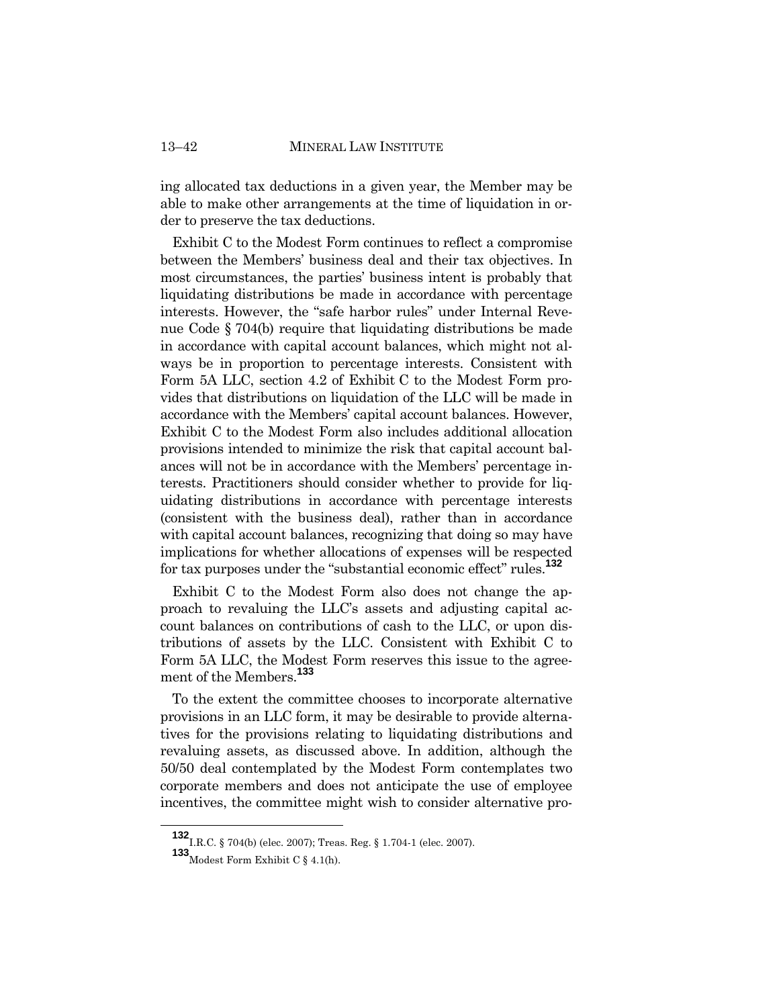ing allocated tax deductions in a given year, the Member may be able to make other arrangements at the time of liquidation in order to preserve the tax deductions.

Exhibit C to the Modest Form continues to reflect a compromise between the Members' business deal and their tax objectives. In most circumstances, the parties' business intent is probably that liquidating distributions be made in accordance with percentage interests. However, the "safe harbor rules" under Internal Revenue Code § 704(b) require that liquidating distributions be made in accordance with capital account balances, which might not always be in proportion to percentage interests. Consistent with Form 5A LLC, section 4.2 of Exhibit C to the Modest Form provides that distributions on liquidation of the LLC will be made in accordance with the Members' capital account balances. However, Exhibit C to the Modest Form also includes additional allocation provisions intended to minimize the risk that capital account balances will not be in accordance with the Members' percentage interests. Practitioners should consider whether to provide for liquidating distributions in accordance with percentage interests (consistent with the business deal), rather than in accordance with capital account balances, recognizing that doing so may have implications for whether allocations of expenses will be respected for tax purposes under the "substantial economic effect" rules.**<sup>132</sup>**

Exhibit C to the Modest Form also does not change the approach to revaluing the LLC's assets and adjusting capital account balances on contributions of cash to the LLC, or upon distributions of assets by the LLC. Consistent with Exhibit C to Form 5A LLC, the Modest Form reserves this issue to the agreement of the Members.**<sup>133</sup>**

To the extent the committee chooses to incorporate alternative provisions in an LLC form, it may be desirable to provide alternatives for the provisions relating to liquidating distributions and revaluing assets, as discussed above. In addition, although the 50/50 deal contemplated by the Modest Form contemplates two corporate members and does not anticipate the use of employee incentives, the committee might wish to consider alternative pro-

**<sup>132</sup>**I.R.C. § 704(b) (elec. 2007); Treas. Reg. § 1.704-1 (elec. 2007).

**<sup>133</sup>**Modest Form Exhibit C § 4.1(h).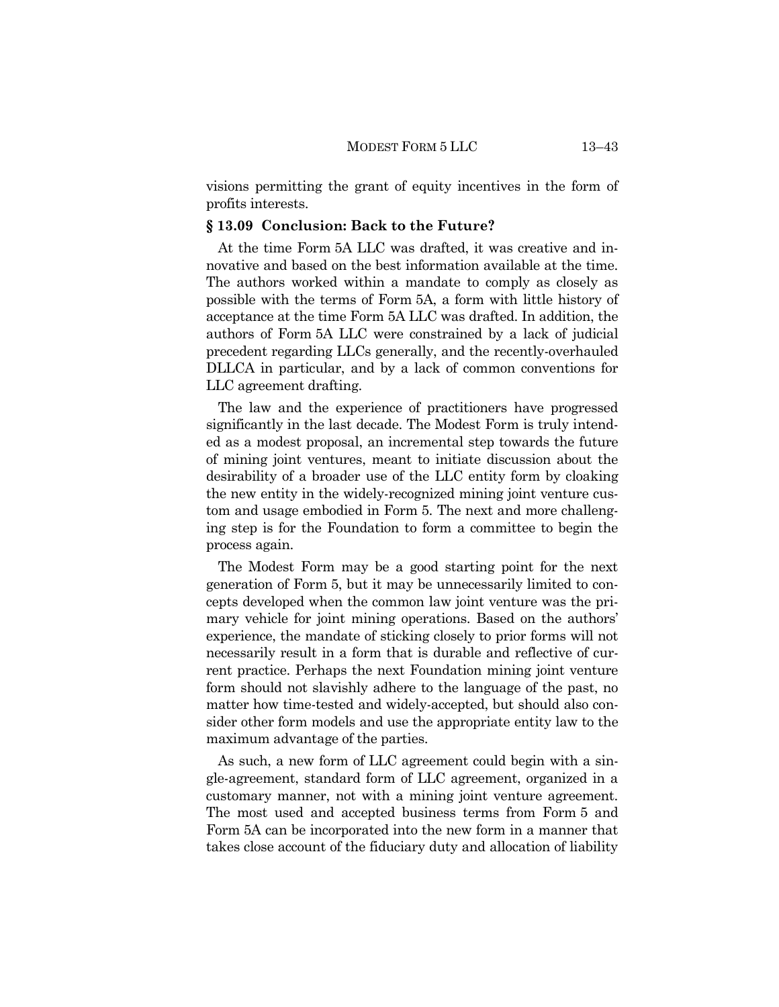visions permitting the grant of equity incentives in the form of profits interests.

#### **§ 13.09 Conclusion: Back to the Future?**

At the time Form 5A LLC was drafted, it was creative and innovative and based on the best information available at the time. The authors worked within a mandate to comply as closely as possible with the terms of Form 5A, a form with little history of acceptance at the time Form 5A LLC was drafted. In addition, the authors of Form 5A LLC were constrained by a lack of judicial precedent regarding LLCs generally, and the recently-overhauled DLLCA in particular, and by a lack of common conventions for LLC agreement drafting.

The law and the experience of practitioners have progressed significantly in the last decade. The Modest Form is truly intended as a modest proposal, an incremental step towards the future of mining joint ventures, meant to initiate discussion about the desirability of a broader use of the LLC entity form by cloaking the new entity in the widely-recognized mining joint venture custom and usage embodied in Form 5. The next and more challenging step is for the Foundation to form a committee to begin the process again.

The Modest Form may be a good starting point for the next generation of Form 5, but it may be unnecessarily limited to concepts developed when the common law joint venture was the primary vehicle for joint mining operations. Based on the authors' experience, the mandate of sticking closely to prior forms will not necessarily result in a form that is durable and reflective of current practice. Perhaps the next Foundation mining joint venture form should not slavishly adhere to the language of the past, no matter how time-tested and widely-accepted, but should also consider other form models and use the appropriate entity law to the maximum advantage of the parties.

As such, a new form of LLC agreement could begin with a single-agreement, standard form of LLC agreement, organized in a customary manner, not with a mining joint venture agreement. The most used and accepted business terms from Form 5 and Form 5A can be incorporated into the new form in a manner that takes close account of the fiduciary duty and allocation of liability